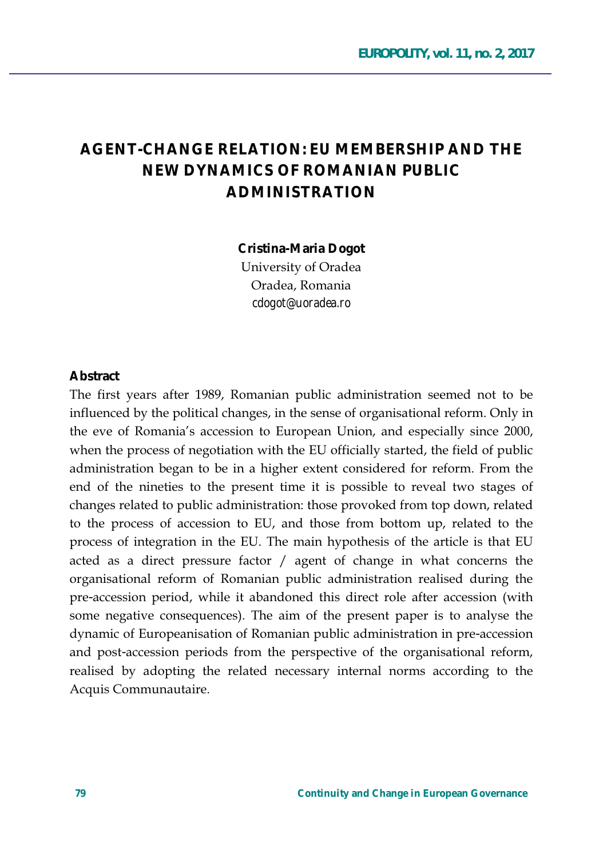# **AGENT-CHANGE RELATION: EU MEMBERSHIP AND THE NEW DYNAMICS OF ROMANIAN PUBLIC ADMINISTRATION**

**Cristina-Maria Dogot**

University of Oradea Oradea, Romania *cdogot@uoradea.ro* 

#### **Abstract**

The first years after 1989, Romanian public administration seemed not to be influenced by the political changes, in the sense of organisational reform. Only in the eve of Romania's accession to European Union, and especially since 2000, when the process of negotiation with the EU officially started, the field of public administration began to be in a higher extent considered for reform. From the end of the nineties to the present time it is possible to reveal two stages of changes related to public administration: those provoked from top down, related to the process of accession to EU, and those from bottom up, related to the process of integration in the EU. The main hypothesis of the article is that EU acted as a direct pressure factor  $/$  agent of change in what concerns the organisational reform of Romanian public administration realised during the pre-accession period, while it abandoned this direct role after accession (with some negative consequences). The aim of the present paper is to analyse the dynamic of Europeanisation of Romanian public administration in pre-accession and post-accession periods from the perspective of the organisational reform, realised by adopting the related necessary internal norms according to the Acquis Communautaire.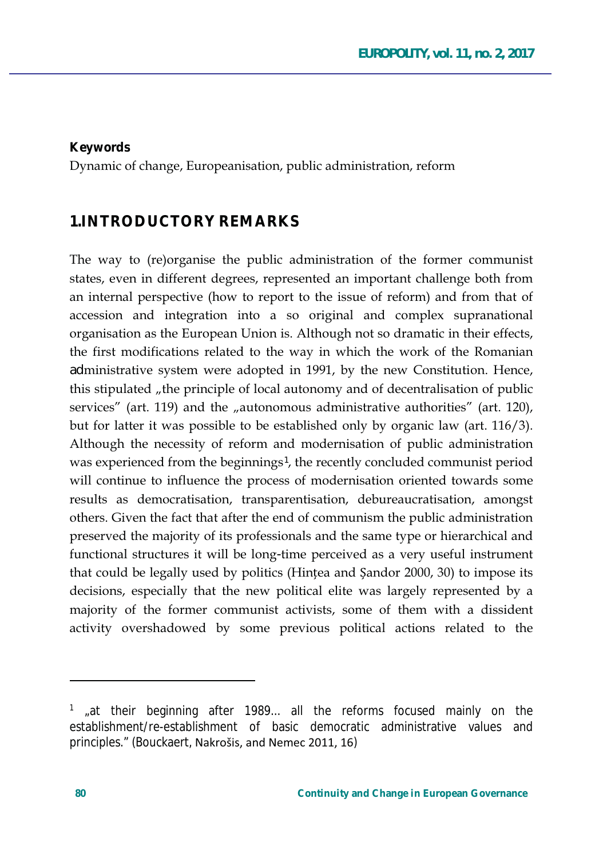#### **Keywords**

Dynamic of change, Europeanisation, public administration, reform

### **1.INTRODUCTORY REMARKS**

The way to (re)organise the public administration of the former communist states, even in different degrees, represented an important challenge both from an internal perspective (how to report to the issue of reform) and from that of accession and integration into a so original and complex supranational organisation as the European Union is. Although not so dramatic in their effects, the first modifications related to the way in which the work of the Romanian administrative system were adopted in 1991, by the new Constitution. Hence, this stipulated "the principle of local autonomy and of decentralisation of public services" (art. 119) and the  $n_{\text{a}}$ autonomous administrative authorities" (art. 120), but for latter it was possible to be established only by organic law (art.  $116/3$ ). Although the necessity of reform and modernisation of public administration was experienced from the beginnings<sup>1</sup>, the recently concluded communist period will continue to influence the process of modernisation oriented towards some results as democratisation, transparentisation, debureaucratisation, amongst others. Given the fact that after the end of communism the public administration preserved the majority of its professionals and the same type or hierarchical and functional structures it will be long-time perceived as a very useful instrument that could be legally used by politics (Hintea and Şandor 2000, 30) to impose its decisions, especially that the new political elite was largely represented by a majority of the former communist activists, some of them with a dissident activity overshadowed by some previous political actions related to the

 $\overline{\phantom{a}}$ 

<sup>1</sup> "at their beginning after 1989... all the reforms focused mainly on the establishment/re-establishment of basic democratic administrative values and principles." (Bouckaert, Nakrošis, and Nemec 2011, 16)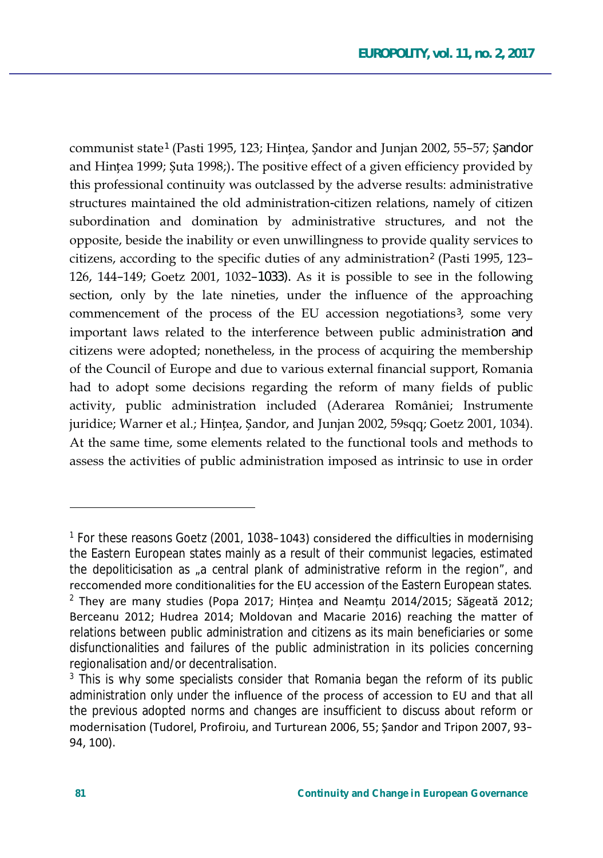communist state<sup>1</sup> (Pasti 1995, 123; Hintea, Sandor and Junjan 2002, 55–57; Sandor and Hintea 1999; Suta 1998;). The positive effect of a given efficiency provided by this professional continuity was outclassed by the adverse results: administrative structures maintained the old administration-citizen relations, namely of citizen subordination and domination by administrative structures, and not the opposite, beside the inability or even unwillingness to provide quality services to citizens, according to the specific duties of any administration<sup>2</sup> (Pasti 1995, 123-126, 144-149; Goetz 2001, 1032-1033). As it is possible to see in the following section, only by the late nineties, under the influence of the approaching commencement of the process of the EU accession negotiations<sup>3</sup>, some very important laws related to the interference between public administration and citizens were adopted; nonetheless, in the process of acquiring the membership of the Council of Europe and due to various external financial support, Romania had to adopt some decisions regarding the reform of many fields of public activity, public administration included (Aderarea României; Instrumente juridice; Warner et al.; Hintea, Sandor, and Junjan 2002, 59sqq; Goetz 2001, 1034). At the same time, some elements related to the functional tools and methods to assess the activities of public administration imposed as intrinsic to use in order

<sup>&</sup>lt;sup>1</sup> For these reasons Goetz (2001, 1038–1043) considered the difficulties in modernising the Eastern European states mainly as a result of their communist legacies, estimated the depoliticisation as <sub>n</sub>a central plank of administrative reform in the region", and reccomended more conditionalities for the EU accession of the Eastern European states.  $^2$  They are many studies (Popa 2017; Hintea and Neamtu 2014/2015; Săgeată 2012; Berceanu 2012; Hudrea 2014; Moldovan and Macarie 2016) reaching the matter of relations between public administration and citizens as its main beneficiaries or some disfunctionalities and failures of the public administration in its policies concerning regionalisation and/or decentralisation.

<sup>&</sup>lt;sup>3</sup> This is why some specialists consider that Romania began the reform of its public administration only under the influence of the process of accession to EU and that all the previous adopted norms and changes are insufficient to discuss about reform or modernisation (Tudorel, Profiroiu, and Turturean 2006, 55; Sandor and Tripon 2007, 93-94, 100).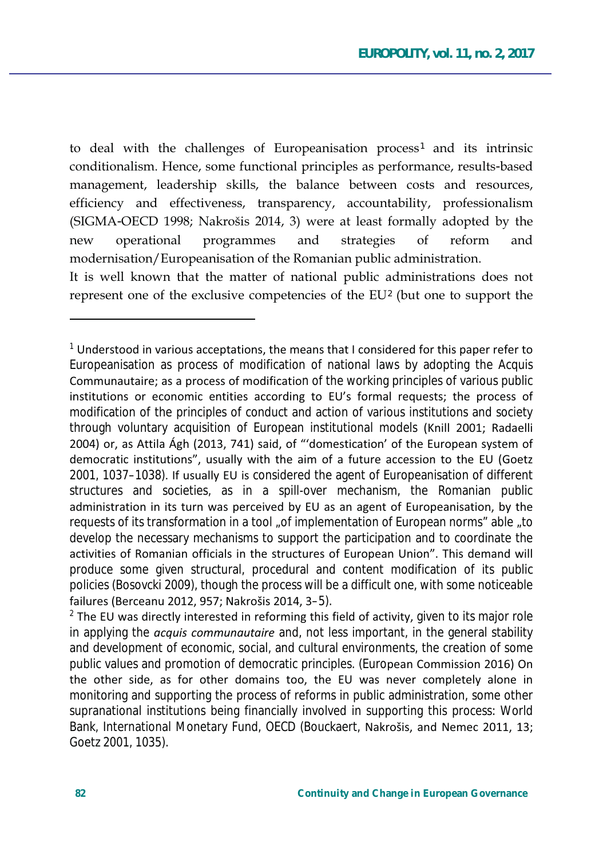to deal with the challenges of Europeanisation process<sup>1</sup> and its intrinsic conditionalism. Hence, some functional principles as performance, results-based management, leadership skills, the balance between costs and resources, efficiency and effectiveness, transparency, accountability, professionalism  $(SIGMA-OECD 1998; Nakrošis 2014, 3)$  were at least formally adopted by the new operational programmes and strategies of reform and modernisation/Europeanisation of the Romanian public administration.

It is well known that the matter of national public administrations does not represent one of the exclusive competencies of the  $EU^2$  (but one to support the

<sup>&</sup>lt;sup>1</sup> Understood in various acceptations, the means that I considered for this paper refer to Europeanisation as process of modification of national laws by adopting the Acquis Communautaire; as a process of modification of the working principles of various public institutions or economic entities according to EU's formal requests; the process of modification of the principles of conduct and action of various institutions and society through voluntary acquisition of European institutional models (Knill 2001; Radaelli 2004) or, as Attila Ágh (2013, 741) said, of "'domestication' of the European system of democratic institutions", usually with the aim of a future accession to the EU (Goetz 2001, 1037–1038). If usually EU is considered the agent of Europeanisation of different structures and societies, as in a spill-over mechanism, the Romanian public administration in its turn was perceived by EU as an agent of Europeanisation, by the requests of its transformation in a tool "of implementation of European norms" able "to develop the necessary mechanisms to support the participation and to coordinate the activities of Romanian officials in the structures of European Union". This demand will produce some given structural, procedural and content modification of its public policies (Bosovcki 2009), though the process will be a difficult one, with some noticeable failures (Berceanu 2012, 957; Nakrošis 2014, 3-5).

<sup>&</sup>lt;sup>2</sup> The EU was directly interested in reforming this field of activity, given to its major role in applying the *acquis communautaire* and, not less important, in the general stability and development of economic, social, and cultural environments, the creation of some public values and promotion of democratic principles. (European Commission 2016) On the other side, as for other domains too, the EU was never completely alone in monitoring and supporting the process of reforms in public administration, some other supranational institutions being financially involved in supporting this process: World Bank, International Monetary Fund, OECD (Bouckaert, Nakrošis, and Nemec 2011, 13; Goetz 2001, 1035).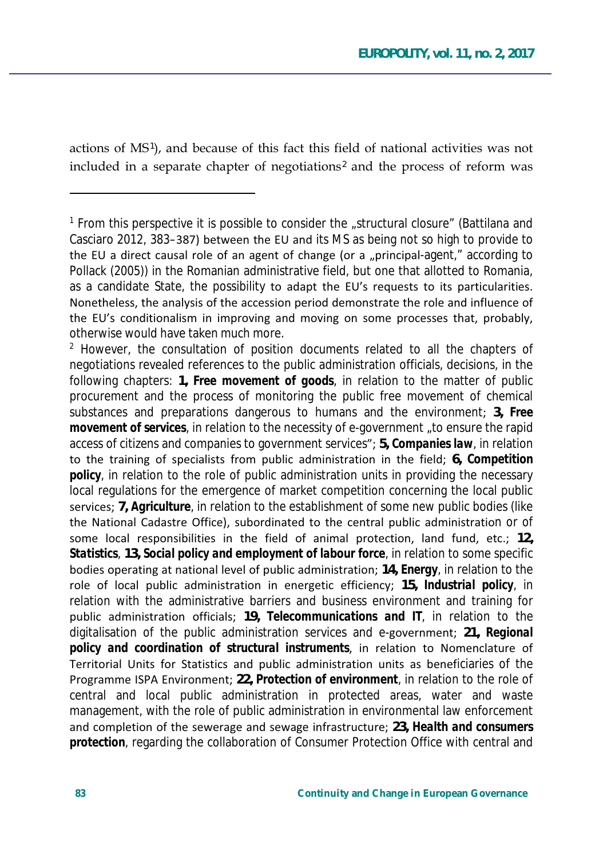actions of MS<sup>1</sup>), and because of this fact this field of national activities was not included in a separate chapter of negotiations<sup>2</sup> and the process of reform was

<sup>&</sup>lt;sup>1</sup> From this perspective it is possible to consider the "structural closure" (Battilana and Casciaro 2012, 383–387) between the EU and its MS as being not so high to provide to the EU a direct causal role of an agent of change (or a "principal-agent," according to Pollack (2005)) in the Romanian administrative field, but one that allotted to Romania, as a candidate State, the possibility to adapt the EU's requests to its particularities. Nonetheless, the analysis of the accession period demonstrate the role and influence of the EU's conditionalism in improving and moving on some processes that, probably, otherwise would have taken much more.

<sup>&</sup>lt;sup>2</sup> However, the consultation of position documents related to all the chapters of negotiations revealed references to the public administration officials, decisions, in the following chapters: **1,** *Free movement of goods*, in relation to the matter of public procurement and the process of monitoring the public free movement of chemical substances and preparations dangerous to humans and the environment; 3, Free *movement of services*, in relation to the necessity of e-government "to ensure the rapid access of citizens and companies to government services"; 5, *Companies law*, in relation to the training of specialists from public administration in the field: 6, *Competition policy*, in relation to the role of public administration units in providing the necessary local regulations for the emergence of market competition concerning the local public services; 7, *Agriculture*, in relation to the establishment of some new public bodies (like the National Cadastre Office), subordinated to the central public administration or of some local responsibilities in the field of animal protection, land fund, etc.; 12, *Statistics*, **13,** *Social policy and employment of labour force*, in relation to some specific bodies operating at national level of public administration; 14, *Energy*, in relation to the role of local public administration in energetic efficiency; 15, *Industrial policy*, in relation with the administrative barriers and business environment and training for public administration officials; 19, Telecommunications and IT, in relation to the digitalisation of the public administration services and e-government; 21, *Regional policy and coordination of structural instruments*, in relation to Nomenclature of Territorial Units for Statistics and public administration units as beneficiaries of the Programme ISPA Environment; 22, *Protection of environment*, in relation to the role of central and local public administration in protected areas, water and waste management, with the role of public administration in environmental law enforcement and completion of the sewerage and sewage infrastructure; 23, *Health and consumers protection*, regarding the collaboration of Consumer Protection Office with central and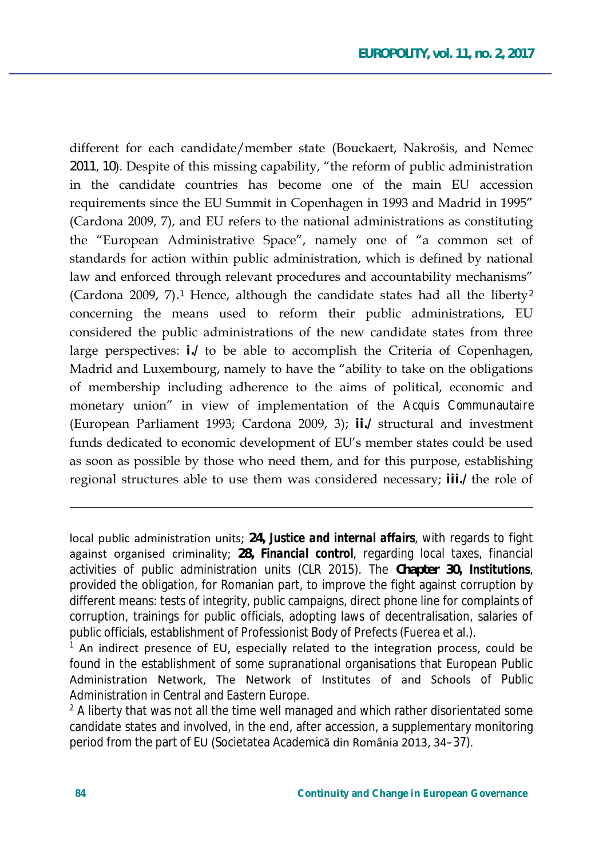different for each candidate/member state (Bouckaert, Nakrošis, and Nemec 2011, 10). Despite of this missing capability, "the reform of public administration in the candidate countries has become one of the main EU accession requirements since the EU Summit in Copenhagen in 1993 and Madrid in 1995" (Cardona 2009, 7), and EU refers to the national administrations as constituting the "European Administrative Space", namely one of "a common set of standards for action within public administration, which is defined by national law and enforced through relevant procedures and accountability mechanisms" (Cardona 2009, 7).<sup>1</sup> Hence, although the candidate states had all the liberty<sup>2</sup> concerning the means used to reform their public administrations, EU considered the public administrations of the new candidate states from three large perspectives: **i./** to be able to accomplish the Criteria of Copenhagen, Madrid and Luxembourg, namely to have the "ability to take on the obligations of membership including adherence to the aims of political, economic and monetary union" in view of implementation of the Acquis Communautaire (European Parliament 1993; Cardona 2009, 3); ii./ structural and investment funds dedicated to economic development of EU's member states could be used as soon as possible by those who need them, and for this purpose, establishing regional structures able to use them was considered necessary; *iii./* the role of

local public administration units; 24, *Justice and internal affairs*, with regards to fight against organised criminality; 28, *Financial control*, regarding local taxes, financial activities of public administration units (CLR 2015). The **Chapter 30,** *Institutions*, provided the obligation, for Romanian part, to improve the fight against corruption by different means: tests of integrity, public campaigns, direct phone line for complaints of corruption, trainings for public officials, adopting laws of decentralisation, salaries of public officials, establishment of Professionist Body of Prefects (Fuerea et al.).

 $1$  An indirect presence of EU, especially related to the integration process, could be found in the establishment of some supranational organisations that European Public Administration Network, The Network of Institutes of and Schools of Public Administration in Central and Eastern Europe.

<sup>&</sup>lt;sup>2</sup> A liberty that was not all the time well managed and which rather disorientated some candidate states and involved, in the end, after accession, a supplementary monitoring period from the part of EU (Societatea Academică din România 2013, 34–37).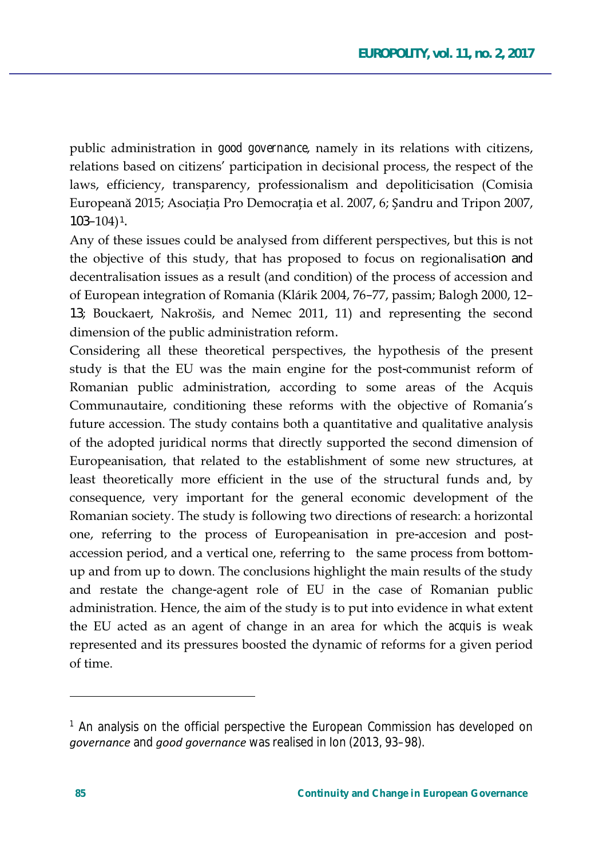public administration in *good governance*, namely in its relations with citizens, relations based on citizens' participation in decisional process, the respect of the laws, efficiency, transparency, professionalism and depoliticisation (Comisia Europeană 2015; Asociația Pro Democrația et al. 2007, 6; Șandru and Tripon 2007,  $103 - 104$ <sup>1</sup>.

Any of these issues could be analysed from different perspectives, but this is not the objective of this study, that has proposed to focus on regionalisation and decentralisation issues as a result (and condition) of the process of accession and of European integration of Romania (Klárik 2004, 76–77, passim; Balogh 2000, 12– 13; Bouckaert, Nakrošis, and Nemec 2011, 11) and representing the second dimension of the public administration reform.

Considering all these theoretical perspectives, the hypothesis of the present study is that the EU was the main engine for the post-communist reform of Romanian public administration, according to some areas of the Acquis Communautaire, conditioning these reforms with the objective of Romania's future accession. The study contains both a quantitative and qualitative analysis of the adopted juridical norms that directly supported the second dimension of Europeanisation, that related to the establishment of some new structures, at least theoretically more efficient in the use of the structural funds and, by consequence, very important for the general economic development of the Romanian society. The study is following two directions of research: a horizontal one, referring to the process of Europeanisation in pre-accesion and postaccession period, and a vertical one, referring to the same process from bottomup and from up to down. The conclusions highlight the main results of the study and restate the change-agent role of EU in the case of Romanian public administration. Hence, the aim of the study is to put into evidence in what extent the EU acted as an agent of change in an area for which the *acquis* is weak represented and its pressures boosted the dynamic of reforms for a given period of time.

<sup>&</sup>lt;sup>1</sup> An analysis on the official perspective the European Commission has developed on governance and good governance was realised in Ion (2013, 93-98).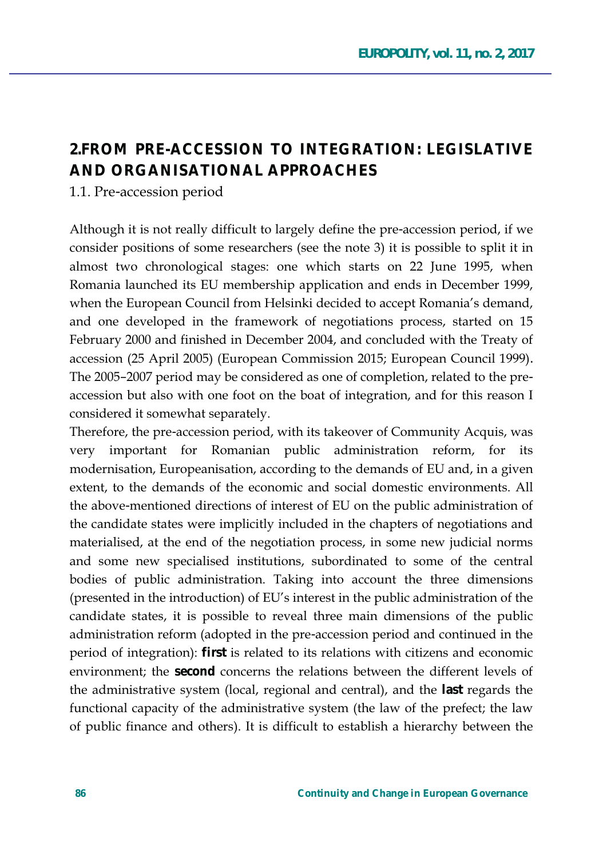## **2.FROM PRE-ACCESSION TO INTEGRATION: LEGISLATIVE AND ORGANISATIONAL APPROACHES**

1.1. Pre-accession period

Although it is not really difficult to largely define the pre-accession period, if we consider positions of some researchers (see the note 3) it is possible to split it in almost two chronological stages: one which starts on 22 June 1995, when Romania launched its EU membership application and ends in December 1999, when the European Council from Helsinki decided to accept Romania's demand, and one developed in the framework of negotiations process, started on 15 February 2000 and finished in December 2004, and concluded with the Treaty of accession (25 April 2005) (European Commission 2015; European Council 1999). The 2005–2007 period may be considered as one of completion, related to the preaccession but also with one foot on the boat of integration, and for this reason I considered it somewhat separately.

Therefore, the pre-accession period, with its takeover of Community Acquis, was very important for Romanian public administration reform, for its modernisation, Europeanisation, according to the demands of EU and, in a given extent, to the demands of the economic and social domestic environments. All the above-mentioned directions of interest of EU on the public administration of the candidate states were implicitly included in the chapters of negotiations and materialised, at the end of the negotiation process, in some new judicial norms and some new specialised institutions, subordinated to some of the central bodies of public administration. Taking into account the three dimensions (presented in the introduction) of EU's interest in the public administration of the candidate states, it is possible to reveal three main dimensions of the public administration reform (adopted in the pre-accession period and continued in the period of integration): **first** is related to its relations with citizens and economic environment; the second concerns the relations between the different levels of the administrative system (local, regional and central), and the **last** regards the functional capacity of the administrative system (the law of the prefect; the law of public finance and others). It is difficult to establish a hierarchy between the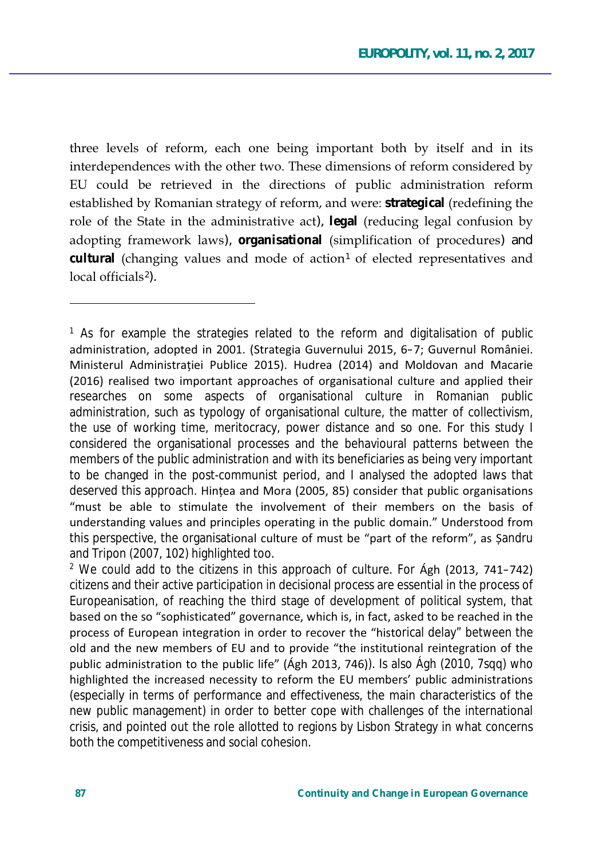three levels of reform, each one being important both by itself and in its interdependences with the other two. These dimensions of reform considered by EU could be retrieved in the directions of public administration reform established by Romanian strategy of reform, and were: strategical (redefining the role of the State in the administrative act), legal (reducing legal confusion by adopting framework laws), **organisational** (simplification of procedures) and cultural (changing values and mode of action<sup>1</sup> of elected representatives and local officials<sup>2</sup>).

<sup>1</sup> As for example the strategies related to the reform and digitalisation of public administration, adopted in 2001. (Strategia Guvernului 2015, 6-7; Guvernul României. Ministerul Administrației Publice 2015). Hudrea (2014) and Moldovan and Macarie (2016) realised two important approaches of organisational culture and applied their researches on some aspects of organisational culture in Romanian public administration, such as typology of organisational culture, the matter of collectivism, the use of working time, meritocracy, power distance and so one. For this study I considered the organisational processes and the behavioural patterns between the members of the public administration and with its beneficiaries as being very important to be changed in the post-communist period, and I analysed the adopted laws that deserved this approach. Hintea and Mora (2005, 85) consider that public organisations "must be able to stimulate the involvement of their members on the basis of understanding values and principles operating in the public domain." Understood from this perspective, the organisational culture of must be "part of the reform", as Sandru and Tripon (2007, 102) highlighted too.

 $^2$  We could add to the citizens in this approach of culture. For Ágh (2013, 741–742) citizens and their active participation in decisional process are essential in the process of Europeanisation, of reaching the third stage of development of political system, that based on the so "sophisticated" governance, which is, in fact, asked to be reached in the process of European integration in order to recover the "historical delay" between the old and the new members of EU and to provide "the institutional reintegration of the public administration to the public life" (Ágh 2013, 746)). Is also Ágh (2010, 7sqq) who highlighted the increased necessity to reform the EU members' public administrations (especially in terms of performance and effectiveness, the main characteristics of the new public management) in order to better cope with challenges of the international crisis, and pointed out the role allotted to regions by Lisbon Strategy in what concerns both the competitiveness and social cohesion.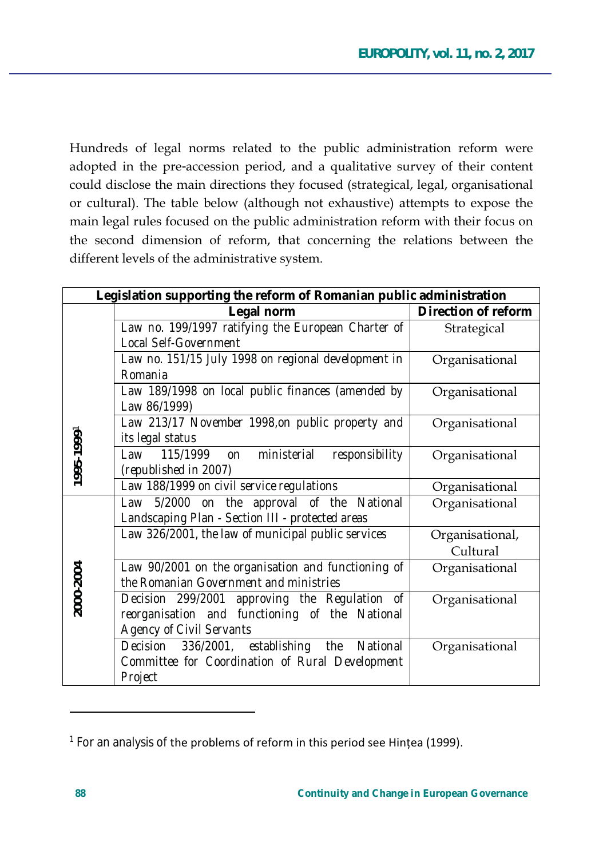Hundreds of legal norms related to the public administration reform were adopted in the pre-accession period, and a qualitative survey of their content could disclose the main directions they focused (strategical, legal, organisational or cultural). The table below (although not exhaustive) attempts to expose the main legal rules focused on the public administration reform with their focus on the second dimension of reform, that concerning the relations between the different levels of the administrative system.

|            | Legislation supporting the reform of Romanian public administration |                            |  |
|------------|---------------------------------------------------------------------|----------------------------|--|
|            | Legal norm                                                          | <b>Direction of reform</b> |  |
|            | Law no. 199/1997 ratifying the European Charter of                  | Strategical                |  |
|            | <b>Local Self-Government</b>                                        |                            |  |
|            | Law no. 151/15 July 1998 on regional development in                 | Organisational             |  |
|            | Romania                                                             |                            |  |
|            | Law 189/1998 on local public finances (amended by                   | Organisational             |  |
|            | <i>Law 86/1999)</i>                                                 |                            |  |
|            | Law 213/17 November 1998, on public property and                    | Organisational             |  |
|            | its legal status                                                    |                            |  |
| 1995-19991 | 115/1999 on<br>ministerial<br>Law<br>responsibility                 | Organisational             |  |
|            | (republished in 2007)                                               |                            |  |
|            | Law 188/1999 on civil service regulations                           | Organisational             |  |
| 2000-2004  | Law 5/2000 on the approval of the National                          | Organisational             |  |
|            | Landscaping Plan - Section III - protected areas                    |                            |  |
|            | Law 326/2001, the law of municipal public services                  | Organisational,            |  |
|            |                                                                     | Cultural                   |  |
|            | Law 90/2001 on the organisation and functioning of                  | Organisational             |  |
|            | the Romanian Government and ministries                              |                            |  |
|            | Decision 299/2001 approving the Regulation of                       | Organisational             |  |
|            | reorganisation and functioning of the National                      |                            |  |
|            | Agency of Civil Servants                                            |                            |  |
|            | Decision 336/2001, establishing the National                        | Organisational             |  |
|            | Committee for Coordination of Rural Development                     |                            |  |
|            | Project                                                             |                            |  |

 $\overline{\phantom{a}}$ 

 $1$  For an analysis of the problems of reform in this period see Hințea (1999).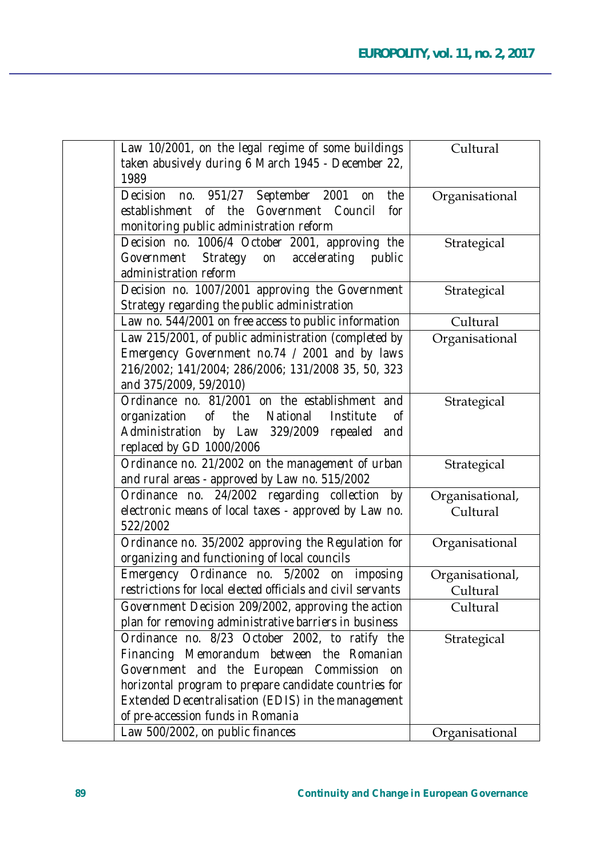| Law 10/2001, on the legal regime of some buildings<br>taken abusively during 6 March 1945 - December 22,<br>1989                                                                                                                                                                             | Cultural                    |
|----------------------------------------------------------------------------------------------------------------------------------------------------------------------------------------------------------------------------------------------------------------------------------------------|-----------------------------|
| 951/27 September 2001 on<br>Decision<br>the<br>no.<br>of the<br>Government Council<br>establishment<br>for<br>monitoring public administration reform                                                                                                                                        | Organisational              |
| Decision no. 1006/4 October 2001, approving the<br>Government<br>Strategy<br>accelerating<br>on<br>public<br>administration reform                                                                                                                                                           | Strategical                 |
| Decision no. 1007/2001 approving the Government<br>Strategy regarding the public administration                                                                                                                                                                                              | Strategical                 |
| Law no. 544/2001 on free access to public information                                                                                                                                                                                                                                        | Cultural                    |
| Law 215/2001, of public administration (completed by<br>Emergency Government no.74 / 2001 and by laws<br>216/2002; 141/2004; 286/2006; 131/2008 35, 50, 323<br>and 375/2009, 59/2010)                                                                                                        | Organisational              |
| Ordinance no. 81/2001 on the establishment and<br>of the<br>organization<br>National<br>Institute<br>οf<br>Administration by Law 329/2009 repealed and<br>replaced by GD 1000/2006                                                                                                           | Strategical                 |
| Ordinance no. 21/2002 on the management of urban<br>and rural areas - approved by Law no. 515/2002                                                                                                                                                                                           | Strategical                 |
| Ordinance no. 24/2002 regarding collection by<br>electronic means of local taxes - approved by Law no.<br>522/2002                                                                                                                                                                           | Organisational,<br>Cultural |
| Ordinance no. 35/2002 approving the Regulation for<br>organizing and functioning of local councils                                                                                                                                                                                           | Organisational              |
| Emergency Ordinance no. 5/2002 on imposing<br>restrictions for local elected officials and civil servants                                                                                                                                                                                    | Organisational,<br>Cultural |
| Government Decision 209/2002, approving the action<br>plan for removing administrative barriers in business                                                                                                                                                                                  | Cultural                    |
| Ordinance no. 8/23 October 2002, to ratify the<br>Financing Memorandum between the Romanian<br>Government and the European Commission on<br>horizontal program to prepare candidate countries for<br>Extended Decentralisation (EDIS) in the management<br>of pre-accession funds in Romania | Strategical                 |
| Law 500/2002, on public finances                                                                                                                                                                                                                                                             | Organisational              |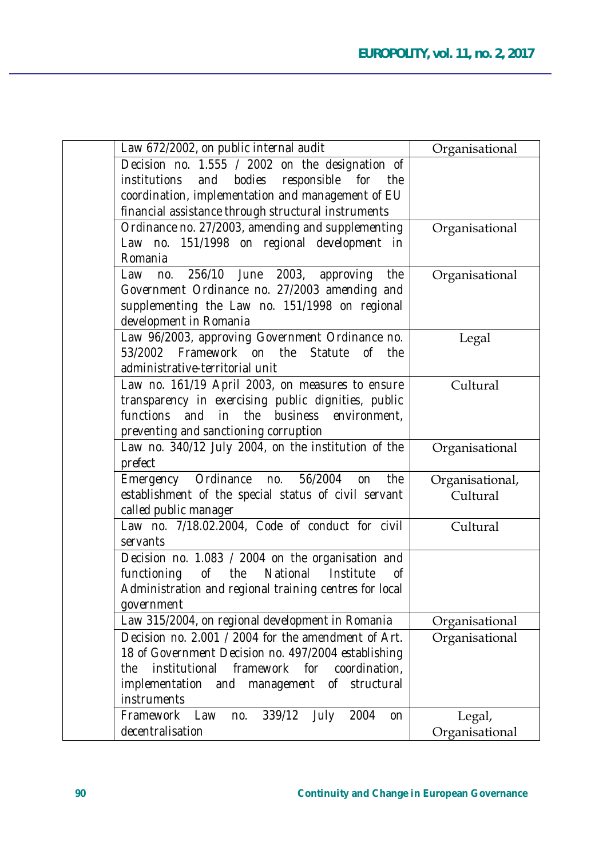| Law 672/2002, on public internal audit                                                                     | Organisational  |
|------------------------------------------------------------------------------------------------------------|-----------------|
| Decision no. 1.555 / 2002 on the designation of                                                            |                 |
| bodies<br>responsible<br>for<br>institutions<br>and<br>the                                                 |                 |
| coordination, implementation and management of EU                                                          |                 |
| financial assistance through structural instruments                                                        |                 |
| Ordinance no. 27/2003, amending and supplementing                                                          | Organisational  |
| Law no. 151/1998 on regional development in                                                                |                 |
| Romania<br>256/10 June 2003,<br>the                                                                        |                 |
| approving<br>Law<br>no.<br>Government Ordinance no. 27/2003 amending and                                   | Organisational  |
| supplementing the Law no. 151/1998 on regional                                                             |                 |
| development in Romania                                                                                     |                 |
| Law 96/2003, approving Government Ordinance no.                                                            | Legal           |
| 53/2002<br>Framework on the Statute of<br>the                                                              |                 |
| administrative-territorial unit                                                                            |                 |
| Law no. 161/19 April 2003, on measures to ensure                                                           | Cultural        |
| transparency in exercising public dignities, public                                                        |                 |
| functions<br>business<br>and<br>in<br>the<br>environment,                                                  |                 |
| preventing and sanctioning corruption                                                                      |                 |
| Law no. 340/12 July 2004, on the institution of the                                                        | Organisational  |
| prefect                                                                                                    |                 |
| Ordinance<br>56/2004<br>Emergency<br>no.<br>the<br>on                                                      | Organisational, |
| establishment of the special status of civil servant<br>called public manager                              | Cultural        |
| Law no. 7/18.02.2004, Code of conduct for civil                                                            | Cultural        |
| servants                                                                                                   |                 |
| Decision no. 1.083 / 2004 on the organisation and                                                          |                 |
| Οf<br>the<br>National<br>Institute<br>functioning<br>οf                                                    |                 |
| Administration and regional training centres for local                                                     |                 |
| government                                                                                                 |                 |
| Law 315/2004, on regional development in Romania                                                           | Organisational  |
| Decision no. 2.001 / 2004 for the amendment of Art.                                                        | Organisational  |
| 18 of Government Decision no. 497/2004 establishing<br>institutional framework<br>for coordination,<br>the |                 |
| implementation and management of structural                                                                |                 |
| instruments                                                                                                |                 |
| 339/12<br>Framework<br>Law<br>July<br>2004<br>no.<br>on                                                    | Legal,          |
| decentralisation                                                                                           | Organisational  |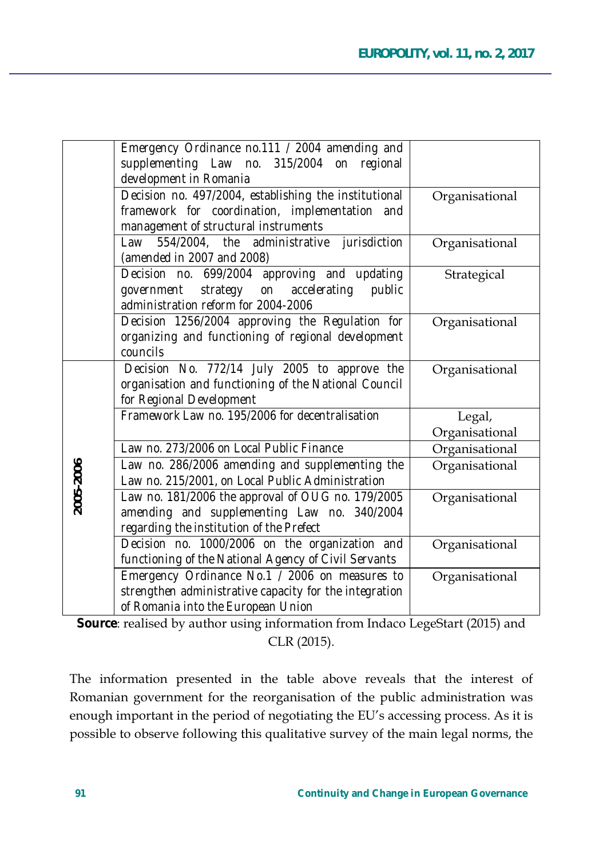|           | Emergency Ordinance no.111 / 2004 amending and<br>supplementing Law no. 315/2004 on regional<br>development in Romania                          |                          |
|-----------|-------------------------------------------------------------------------------------------------------------------------------------------------|--------------------------|
|           | Decision no. 497/2004, establishing the institutional<br>framework for coordination, implementation and<br>management of structural instruments | Organisational           |
|           | Law 554/2004, the administrative jurisdiction<br>(amended in 2007 and 2008)                                                                     | Organisational           |
|           | Decision no. 699/2004 approving and updating<br>government strategy on accelerating public<br>administration reform for 2004-2006               | Strategical              |
|           | Decision 1256/2004 approving the Regulation for<br>organizing and functioning of regional development<br>councils                               | Organisational           |
| 2005-2006 | Decision No. 772/14 July 2005 to approve the<br>organisation and functioning of the National Council<br>for Regional Development                | Organisational           |
|           | Framework Law no. 195/2006 for decentralisation                                                                                                 | Legal,<br>Organisational |
|           | Law no. 273/2006 on Local Public Finance                                                                                                        | Organisational           |
|           | Law no. 286/2006 amending and supplementing the<br>Law no. 215/2001, on Local Public Administration                                             | Organisational           |
|           | Law no. 181/2006 the approval of OUG no. 179/2005<br>amending and supplementing Law no. 340/2004<br>regarding the institution of the Prefect    | Organisational           |
|           | Decision no. 1000/2006 on the organization and<br>functioning of the National Agency of Civil Servants                                          | Organisational           |
|           | Emergency Ordinance No.1 / 2006 on measures to<br>strengthen administrative capacity for the integration<br>of Romania into the European Union  | Organisational           |

**Source**: realised by author using information from Indaco LegeStart (2015) and CLR (2015).

The information presented in the table above reveals that the interest of Romanian government for the reorganisation of the public administration was enough important in the period of negotiating the EU's accessing process. As it is possible to observe following this qualitative survey of the main legal norms, the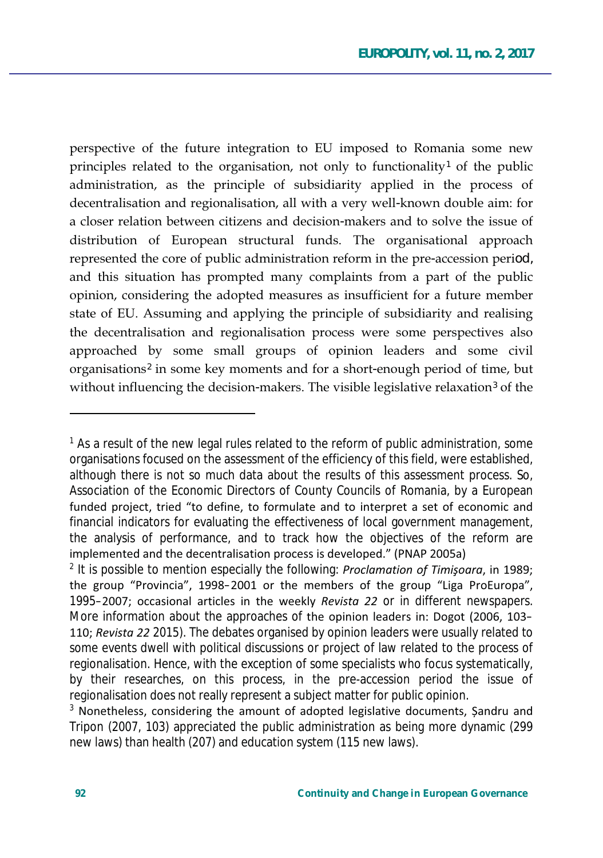perspective of the future integration to EU imposed to Romania some new principles related to the organisation, not only to functionality<sup>1</sup> of the public administration, as the principle of subsidiarity applied in the process of decentralisation and regionalisation, all with a very well-known double aim: for a closer relation between citizens and decision-makers and to solve the issue of distribution of European structural funds. The organisational approach represented the core of public administration reform in the pre-accession period, and this situation has prompted many complaints from a part of the public opinion, considering the adopted measures as insufficient for a future member state of EU. Assuming and applying the principle of subsidiarity and realising the decentralisation and regionalisation process were some perspectives also approached by some small groups of opinion leaders and some civil organisations<sup>2</sup> in some key moments and for a short-enough period of time, but without influencing the decision-makers. The visible legislative relaxation<sup>3</sup> of the

<sup>&</sup>lt;sup>1</sup> As a result of the new legal rules related to the reform of public administration, some organisations focused on the assessment of the efficiency of this field, were established, although there is not so much data about the results of this assessment process. So, Association of the Economic Directors of County Councils of Romania, by a European funded project, tried "to define, to formulate and to interpret a set of economic and financial indicators for evaluating the effectiveness of local government management, the analysis of performance, and to track how the objectives of the reform are implemented and the decentralisation process is developed." (PNAP 2005a)

<sup>&</sup>lt;sup>2</sup> It is possible to mention especially the following: *Proclamation of Timișoara*, in 1989; the group "Provincia", 1998-2001 or the members of the group "Liga ProEuropa", 1995-2007; occasional articles in the weekly Revista 22 or in different newspapers. More information about the approaches of the opinion leaders in: Dogot (2006, 103-110; Revista 22 2015). The debates organised by opinion leaders were usually related to some events dwell with political discussions or project of law related to the process of regionalisation. Hence, with the exception of some specialists who focus systematically, by their researches, on this process, in the pre-accession period the issue of regionalisation does not really represent a subject matter for public opinion.

 $3$  Nonetheless, considering the amount of adopted legislative documents, Sandru and Tripon (2007, 103) appreciated the public administration as being more dynamic (299 new laws) than health (207) and education system (115 new laws).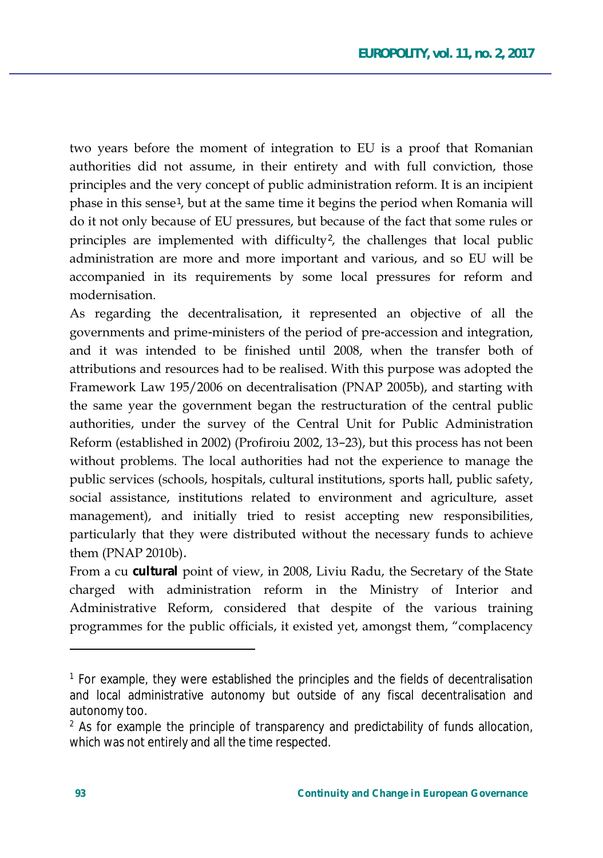two years before the moment of integration to EU is a proof that Romanian authorities did not assume, in their entirety and with full conviction, those principles and the very concept of public administration reform. It is an incipient phase in this sense<sup>1</sup>, but at the same time it begins the period when Romania will do it not only because of EU pressures, but because of the fact that some rules or principles are implemented with difficulty<sup>2</sup>, the challenges that local public administration are more and more important and various, and so EU will be accompanied in its requirements by some local pressures for reform and modernisation

As regarding the decentralisation, it represented an objective of all the governments and prime-ministers of the period of pre-accession and integration, and it was intended to be finished until 2008, when the transfer both of attributions and resources had to be realised. With this purpose was adopted the Framework Law 195/2006 on decentralisation (PNAP 2005b), and starting with the same year the government began the restructuration of the central public authorities, under the survey of the Central Unit for Public Administration Reform (established in 2002) (Profiroiu 2002, 13-23), but this process has not been without problems. The local authorities had not the experience to manage the public services (schools, hospitals, cultural institutions, sports hall, public safety, social assistance, institutions related to environment and agriculture, asset management), and initially tried to resist accepting new responsibilities, particularly that they were distributed without the necessary funds to achieve them  $(PNAP 2010b)$ .

From a cu cultural point of view, in 2008, Liviu Radu, the Secretary of the State charged with administration reform in the Ministry of Interior and Administrative Reform, considered that despite of the various training programmes for the public officials, it existed yet, amongst them, "complacency

 $\overline{\phantom{a}}$ 

<sup>&</sup>lt;sup>1</sup> For example, they were established the principles and the fields of decentralisation and local administrative autonomy but outside of any fiscal decentralisation and autonomy too.

<sup>&</sup>lt;sup>2</sup> As for example the principle of transparency and predictability of funds allocation, which was not entirely and all the time respected.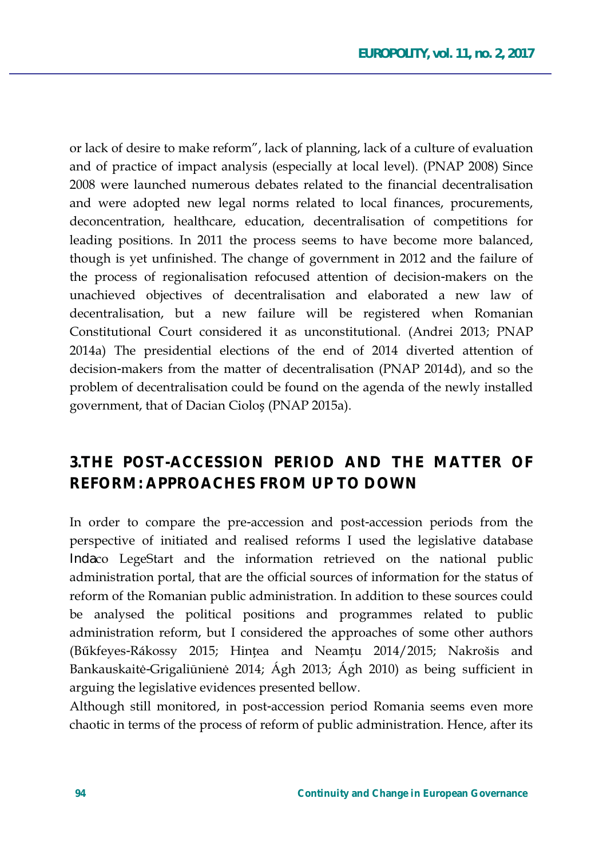or lack of desire to make reform", lack of planning, lack of a culture of evaluation and of practice of impact analysis (especially at local level). (PNAP 2008) Since 2008 were launched numerous debates related to the financial decentralisation and were adopted new legal norms related to local finances, procurements, deconcentration, healthcare, education, decentralisation of competitions for leading positions. In 2011 the process seems to have become more balanced, though is yet unfinished. The change of government in 2012 and the failure of the process of regionalisation refocused attention of decision-makers on the unachieved objectives of decentralisation and elaborated a new law of decentralisation, but a new failure will be registered when Romanian Constitutional Court considered it as unconstitutional. (Andrei 2013; PNAP 2014a) The presidential elections of the end of 2014 diverted attention of decision-makers from the matter of decentralisation (PNAP 2014d), and so the problem of decentralisation could be found on the agenda of the newly installed government, that of Dacian Ciolos (PNAP 2015a).

# **3.THE POST-ACCESSION PERIOD AND THE MATTER OF REFORM: APPROACHES FROM UP TO DOWN**

In order to compare the pre-accession and post-accession periods from the perspective of initiated and realised reforms I used the legislative database Indaco LegeStart and the information retrieved on the national public administration portal, that are the official sources of information for the status of reform of the Romanian public administration. In addition to these sources could be analysed the political positions and programmes related to public administration reform, but I considered the approaches of some other authors (Bűkfeyes-Rákossy 2015; Hințea and Neamțu 2014/2015; Nakrošis and Bankauskaitė-Grigaliūnienė 2014; Agh 2013; Agh 2010) as being sufficient in arguing the legislative evidences presented bellow.

Although still monitored, in post-accession period Romania seems even more chaotic in terms of the process of reform of public administration. Hence, after its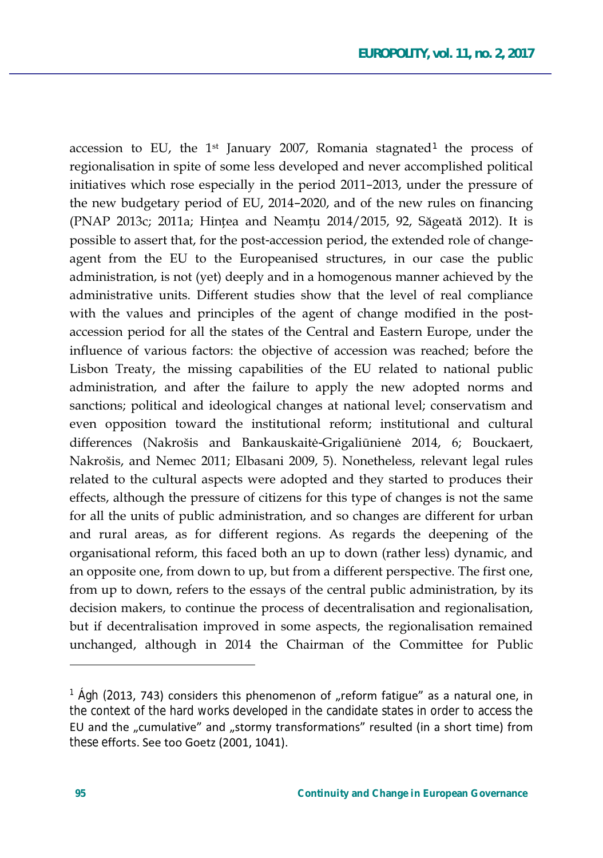accession to EU, the 1<sup>st</sup> January 2007, Romania stagnated<sup>1</sup> the process of regionalisation in spite of some less developed and never accomplished political initiatives which rose especially in the period 2011-2013, under the pressure of the new budgetary period of EU, 2014–2020, and of the new rules on financing (PNAP 2013c; 2011a; Hintea and Neamtu 2014/2015, 92, Săgeată 2012). It is possible to assert that, for the post-accession period, the extended role of changeagent from the EU to the Europeanised structures, in our case the public administration, is not (yet) deeply and in a homogenous manner achieved by the administrative units. Different studies show that the level of real compliance with the values and principles of the agent of change modified in the postaccession period for all the states of the Central and Eastern Europe, under the influence of various factors: the objective of accession was reached; before the Lisbon Treaty, the missing capabilities of the EU related to national public administration, and after the failure to apply the new adopted norms and sanctions; political and ideological changes at national level; conservatism and even opposition toward the institutional reform; institutional and cultural differences (Nakrošis and Bankauskaitė-Grigaliūnienė 2014, 6; Bouckaert, Nakrošis, and Nemec 2011; Elbasani 2009, 5). Nonetheless, relevant legal rules related to the cultural aspects were adopted and they started to produces their effects, although the pressure of citizens for this type of changes is not the same for all the units of public administration, and so changes are different for urban and rural areas, as for different regions. As regards the deepening of the organisational reform, this faced both an up to down (rather less) dynamic, and an opposite one, from down to up, but from a different perspective. The first one, from up to down, refers to the essays of the central public administration, by its decision makers, to continue the process of decentralisation and regionalisation, but if decentralisation improved in some aspects, the regionalisation remained unchanged, although in 2014 the Chairman of the Committee for Public

 $1$  Ágh (2013, 743) considers this phenomenon of "reform fatigue" as a natural one, in the context of the hard works developed in the candidate states in order to access the EU and the "cumulative" and "stormy transformations" resulted (in a short time) from these efforts. See too Goetz (2001, 1041).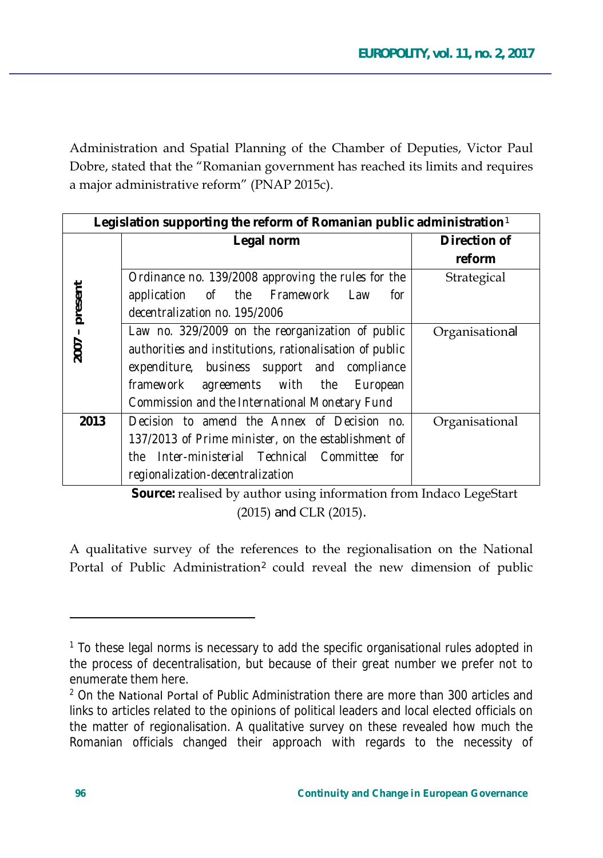Administration and Spatial Planning of the Chamber of Deputies, Victor Paul Dobre, stated that the "Romanian government has reached its limits and requires a major administrative reform" (PNAP 2015c).

| Legislation supporting the reform of Romanian public administration <sup>1</sup> |                                                         |                |  |
|----------------------------------------------------------------------------------|---------------------------------------------------------|----------------|--|
|                                                                                  | Legal norm                                              | Direction of   |  |
|                                                                                  |                                                         | reform         |  |
| present                                                                          | Ordinance no. 139/2008 approving the rules for the      | Strategical    |  |
|                                                                                  | of the Framework<br>application<br>Law<br>for           |                |  |
|                                                                                  | decentralization no 195/2006                            |                |  |
| $\mathbf I$                                                                      | Law no. 329/2009 on the reorganization of public        | Organisational |  |
| 2007                                                                             | authorities and institutions, rationalisation of public |                |  |
|                                                                                  | expenditure, business support and compliance            |                |  |
|                                                                                  | agreements with the<br>framework<br>European            |                |  |
|                                                                                  | Commission and the International Monetary Fund          |                |  |
| 2013                                                                             | Decision to amend the Annex of Decision no.             | Organisational |  |
|                                                                                  | 137/2013 of Prime minister, on the establishment of     |                |  |
|                                                                                  | Inter-ministerial Technical Committee<br>the I<br>for   |                |  |
|                                                                                  | regionalization-decentralization                        |                |  |

**Source:** realised by author using information from Indaco LegeStart (2015) and CLR (2015).

A qualitative survey of the references to the regionalisation on the National Portal of Public Administration<sup>2</sup> could reveal the new dimension of public

<sup>&</sup>lt;sup>1</sup> To these legal norms is necessary to add the specific organisational rules adopted in the process of decentralisation, but because of their great number we prefer not to enumerate them here.

<sup>&</sup>lt;sup>2</sup> On the National Portal of Public Administration there are more than 300 articles and links to articles related to the opinions of political leaders and local elected officials on the matter of regionalisation. A qualitative survey on these revealed how much the Romanian officials changed their approach with regards to the necessity of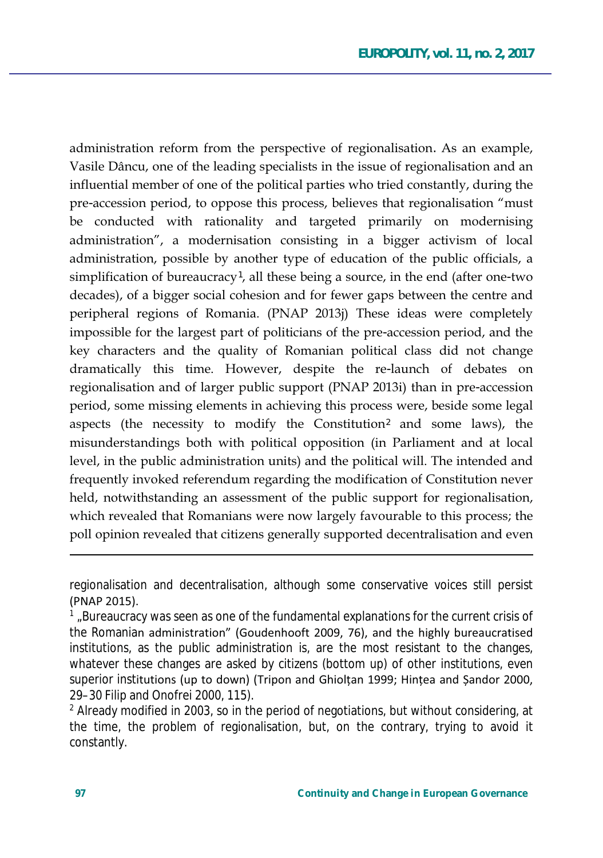administration reform from the perspective of regionalisation. As an example, Vasile Dâncu, one of the leading specialists in the issue of regionalisation and an influential member of one of the political parties who tried constantly, during the pre-accession period, to oppose this process, believes that regionalisation "must be conducted with rationality and targeted primarily on modernising administration", a modernisation consisting in a bigger activism of local administration, possible by another type of education of the public officials, a simplification of bureaucracy<sup>1</sup>, all these being a source, in the end (after one-two decades), of a bigger social cohesion and for fewer gaps between the centre and peripheral regions of Romania. (PNAP 2013j) These ideas were completely impossible for the largest part of politicians of the pre-accession period, and the key characters and the quality of Romanian political class did not change dramatically this time. However, despite the re-launch of debates on regionalisation and of larger public support (PNAP 2013i) than in pre-accession period, some missing elements in achieving this process were, beside some legal aspects (the necessity to modify the Constitution<sup>2</sup> and some laws), the misunderstandings both with political opposition (in Parliament and at local level, in the public administration units) and the political will. The intended and frequently invoked referendum regarding the modification of Constitution never held, notwithstanding an assessment of the public support for regionalisation, which revealed that Romanians were now largely favourable to this process; the poll opinion revealed that citizens generally supported decentralisation and even

regionalisation and decentralisation, although some conservative voices still persist (PNAP 2015).

 $^1$  "Bureaucracy was seen as one of the fundamental explanations for the current crisis of the Romanian administration" (Goudenhooft 2009, 76), and the highly bureaucratised institutions, as the public administration is, are the most resistant to the changes, whatever these changes are asked by citizens (bottom up) of other institutions, even superior institutions (up to down) (Tripon and Ghioltan 1999; Hintea and Şandor 2000, 29–30 Filip and Onofrei 2000, 115).

 $^2$  Already modified in 2003, so in the period of negotiations, but without considering, at the time, the problem of regionalisation, but, on the contrary, trying to avoid it constantly.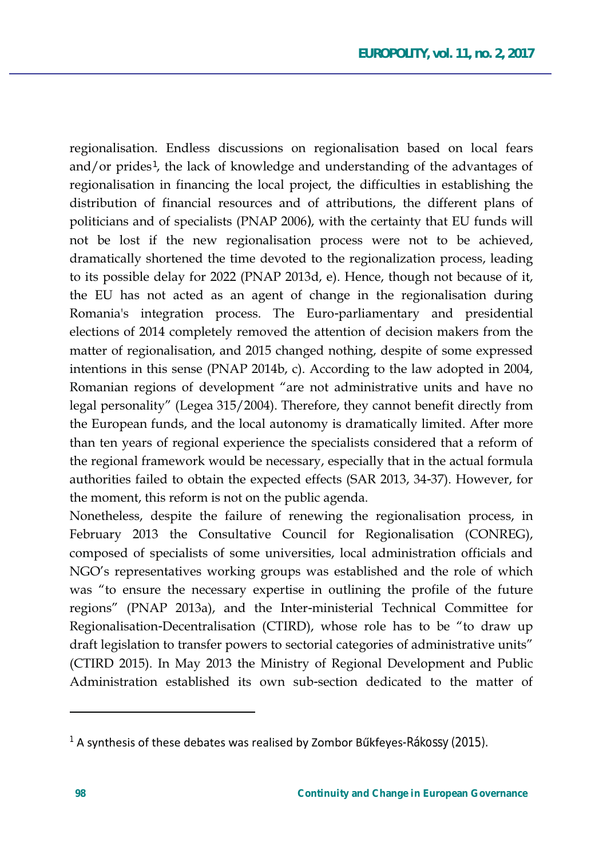regionalisation. Endless discussions on regionalisation based on local fears and/or prides<sup>1</sup>, the lack of knowledge and understanding of the advantages of regionalisation in financing the local project, the difficulties in establishing the distribution of financial resources and of attributions, the different plans of politicians and of specialists (PNAP 2006), with the certainty that EU funds will not be lost if the new regionalisation process were not to be achieved, dramatically shortened the time devoted to the regionalization process, leading to its possible delay for 2022 (PNAP 2013d, e). Hence, though not because of it, the EU has not acted as an agent of change in the regionalisation during Romania's integration process. The Euro-parliamentary and presidential elections of 2014 completely removed the attention of decision makers from the matter of regionalisation, and 2015 changed nothing, despite of some expressed intentions in this sense (PNAP 2014b, c). According to the law adopted in  $2004$ , Romanian regions of development "are not administrative units and have no legal personality" (Legea 315/2004). Therefore, they cannot benefit directly from the European funds, and the local autonomy is dramatically limited. After more than ten years of regional experience the specialists considered that a reform of the regional framework would be necessary, especially that in the actual formula authorities failed to obtain the expected effects (SAR 2013, 34-37). However, for the moment, this reform is not on the public agenda.

Nonetheless, despite the failure of renewing the regionalisation process, in February 2013 the Consultative Council for Regionalisation (CONREG), composed of specialists of some universities, local administration officials and NGO's representatives working groups was established and the role of which was "to ensure the necessary expertise in outlining the profile of the future regions" (PNAP 2013a), and the Inter-ministerial Technical Committee for Regionalisation-Decentralisation (CTIRD), whose role has to be "to draw up draft legislation to transfer powers to sectorial categories of administrative units" (CTIRD 2015). In May 2013 the Ministry of Regional Development and Public Administration established its own sub-section dedicated to the matter of

 $\overline{\phantom{a}}$ 

 $1$  A synthesis of these debates was realised by Zombor Bűkfeyes-Rákossy (2015).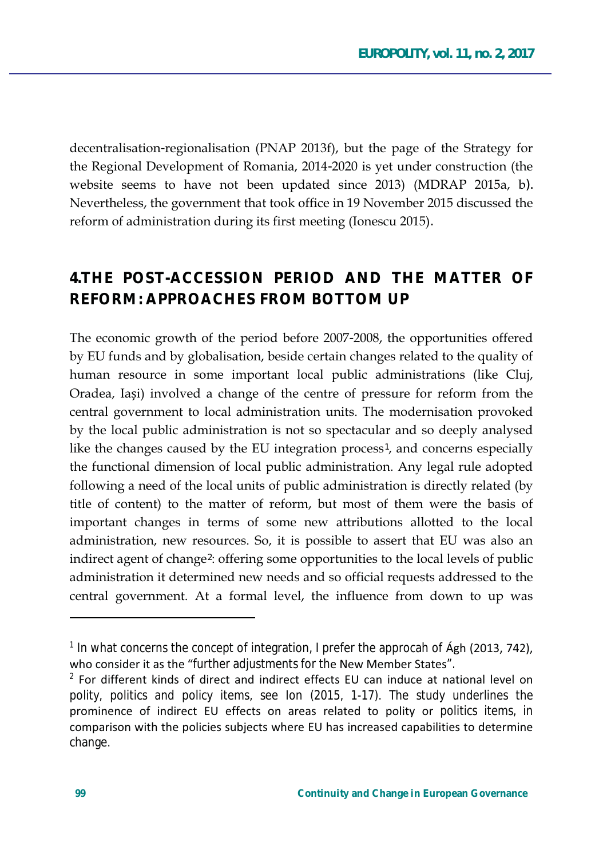decentralisation-regionalisation (PNAP 2013f), but the page of the Strategy for the Regional Development of Romania, 2014-2020 is yet under construction (the website seems to have not been updated since 2013) (MDRAP 2015a, b). Nevertheless, the government that took office in 19 November 2015 discussed the reform of administration during its first meeting (Ionescu 2015).

## 4.THE POST-ACCESSION PERIOD AND THE MATTER OF **REFORM: APPROACHES FROM BOTTOM UP**

The economic growth of the period before 2007-2008, the opportunities offered by EU funds and by globalisation, beside certain changes related to the quality of human resource in some important local public administrations (like Cluj, Oradea, Iași) involved a change of the centre of pressure for reform from the central government to local administration units. The modernisation provoked by the local public administration is not so spectacular and so deeply analysed like the changes caused by the EU integration process<sup>1</sup>, and concerns especially the functional dimension of local public administration. Any legal rule adopted following a need of the local units of public administration is directly related (by title of content) to the matter of reform, but most of them were the basis of important changes in terms of some new attributions allotted to the local administration, new resources. So, it is possible to assert that EU was also an indirect agent of change<sup>2</sup>: offering some opportunities to the local levels of public administration it determined new needs and so official requests addressed to the central government. At a formal level, the influence from down to up was

<sup>&</sup>lt;sup>1</sup> In what concerns the concept of integration, I prefer the approcah of Agh (2013, 742), who consider it as the "further adjustments for the New Member States".

 $2$  For different kinds of direct and indirect effects EU can induce at national level on polity, politics and policy items, see Ion (2015, 1-17). The study underlines the prominence of indirect EU effects on areas related to polity or politics items, in comparison with the policies subjects where EU has increased capabilities to determine change.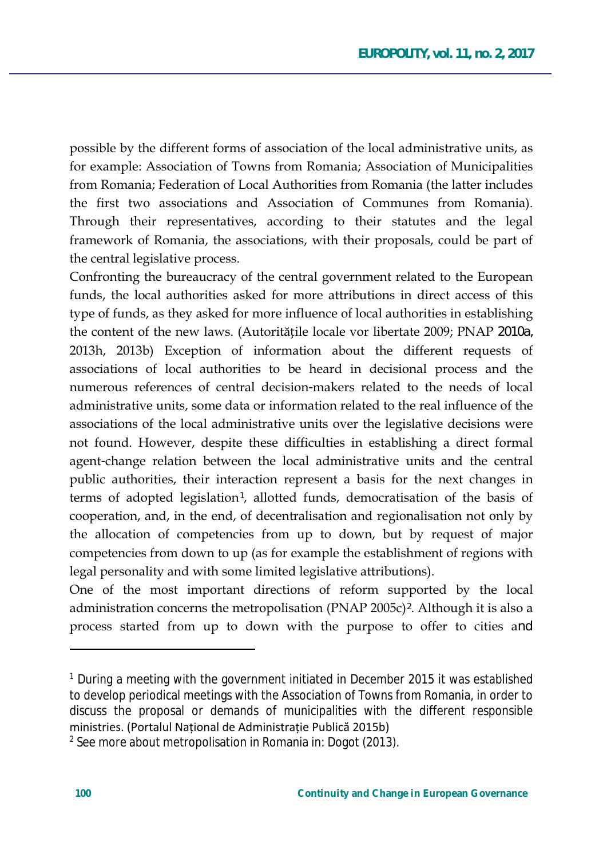possible by the different forms of association of the local administrative units, as for example: Association of Towns from Romania; Association of Municipalities from Romania; Federation of Local Authorities from Romania (the latter includes the first two associations and Association of Communes from Romania). Through their representatives, according to their statutes and the legal framework of Romania, the associations, with their proposals, could be part of the central legislative process.

Confronting the bureaucracy of the central government related to the European funds, the local authorities asked for more attributions in direct access of this type of funds, as they asked for more influence of local authorities in establishing the content of the new laws. (Autoritățile locale vor libertate 2009; PNAP 2010a, 2013h, 2013b) Exception of information about the different requests of associations of local authorities to be heard in decisional process and the numerous references of central decision-makers related to the needs of local administrative units, some data or information related to the real influence of the associations of the local administrative units over the legislative decisions were not found. However, despite these difficulties in establishing a direct formal agent-change relation between the local administrative units and the central public authorities, their interaction represent a basis for the next changes in terms of adopted legislation<sup>1</sup>, allotted funds, democratisation of the basis of cooperation, and, in the end, of decentralisation and regionalisation not only by the allocation of competencies from up to down, but by request of major competencies from down to up (as for example the establishment of regions with legal personality and with some limited legislative attributions).

One of the most important directions of reform supported by the local administration concerns the metropolisation (PNAP 2005c)<sup>2</sup>. Although it is also a process started from up to down with the purpose to offer to cities and

<sup>&</sup>lt;sup>1</sup> During a meeting with the government initiated in December 2015 it was established to develop periodical meetings with the Association of Towns from Romania, in order to discuss the proposal or demands of municipalities with the different responsible ministries. (Portalul Național de Administrație Publică 2015b)

<sup>&</sup>lt;sup>2</sup> See more about metropolisation in Romania in: Dogot (2013).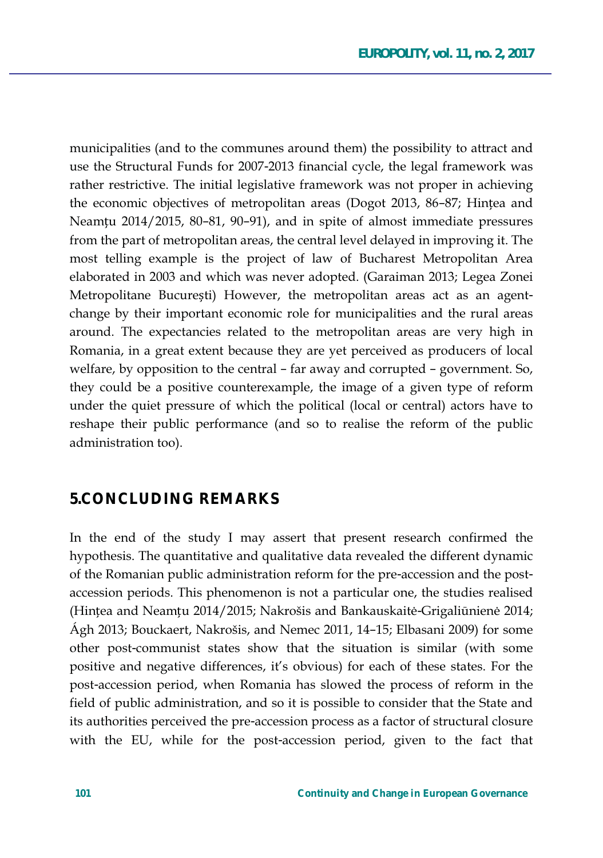municipalities (and to the communes around them) the possibility to attract and use the Structural Funds for 2007-2013 financial cycle, the legal framework was rather restrictive. The initial legislative framework was not proper in achieving the economic objectives of metropolitan areas (Dogot 2013, 86-87; Hințea and Neamtu 2014/2015, 80–81, 90–91), and in spite of almost immediate pressures from the part of metropolitan areas, the central level delayed in improving it. The most telling example is the project of law of Bucharest Metropolitan Area elaborated in 2003 and which was never adopted. (Garaiman 2013; Legea Zonei Metropolitane București) However, the metropolitan areas act as an agentchange by their important economic role for municipalities and the rural areas around. The expectancies related to the metropolitan areas are very high in Romania, in a great extent because they are yet perceived as producers of local welfare, by opposition to the central  $-$  far away and corrupted  $-$  government. So, they could be a positive counterexample, the image of a given type of reform under the quiet pressure of which the political (local or central) actors have to reshape their public performance (and so to realise the reform of the public administration too).

#### **5.CONCLUDING REMARKS**

In the end of the study I may assert that present research confirmed the hypothesis. The quantitative and qualitative data revealed the different dynamic of the Romanian public administration reform for the pre-accession and the postaccession periods. This phenomenon is not a particular one, the studies realised (Hințea and Neamțu 2014/2015; Nakrošis and Bankauskaitė-Grigaliūnienė 2014; Ágh 2013; Bouckaert, Nakrošis, and Nemec 2011, 14–15; Elbasani 2009) for some other post-communist states show that the situation is similar (with some positive and negative differences, it's obvious) for each of these states. For the post-accession period, when Romania has slowed the process of reform in the field of public administration, and so it is possible to consider that the State and its authorities perceived the pre-accession process as a factor of structural closure with the EU, while for the post-accession period, given to the fact that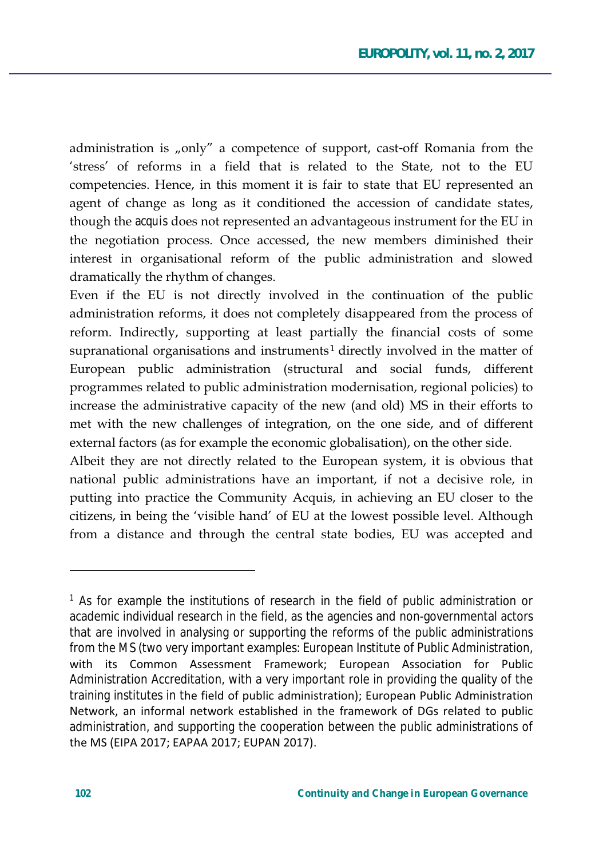administration is "only" a competence of support, cast-off Romania from the 'stress' of reforms in a field that is related to the State, not to the EU competencies. Hence, in this moment it is fair to state that EU represented an agent of change as long as it conditioned the accession of candidate states, though the *acquis* does not represented an advantageous instrument for the EU in the negotiation process. Once accessed, the new members diminished their interest in organisational reform of the public administration and slowed dramatically the rhythm of changes.

Even if the EU is not directly involved in the continuation of the public administration reforms, it does not completely disappeared from the process of reform. Indirectly, supporting at least partially the financial costs of some supranational organisations and instruments<sup>1</sup> directly involved in the matter of European public administration (structural and social funds, different programmes related to public administration modernisation, regional policies) to increase the administrative capacity of the new (and old) MS in their efforts to met with the new challenges of integration, on the one side, and of different external factors (as for example the economic globalisation), on the other side.

Albeit they are not directly related to the European system, it is obvious that national public administrations have an important, if not a decisive role, in putting into practice the Community Acquis, in achieving an EU closer to the citizens, in being the 'visible hand' of EU at the lowest possible level. Although from a distance and through the central state bodies, EU was accepted and

<sup>&</sup>lt;sup>1</sup> As for example the institutions of research in the field of public administration or academic individual research in the field, as the agencies and non-governmental actors that are involved in analysing or supporting the reforms of the public administrations from the MS (two very important examples: European Institute of Public Administration, with its Common Assessment Framework; European Association for Public Administration Accreditation, with a very important role in providing the quality of the training institutes in the field of public administration); European Public Administration Network, an informal network established in the framework of DGs related to public administration, and supporting the cooperation between the public administrations of the MS (EIPA 2017; EAPAA 2017; EUPAN 2017).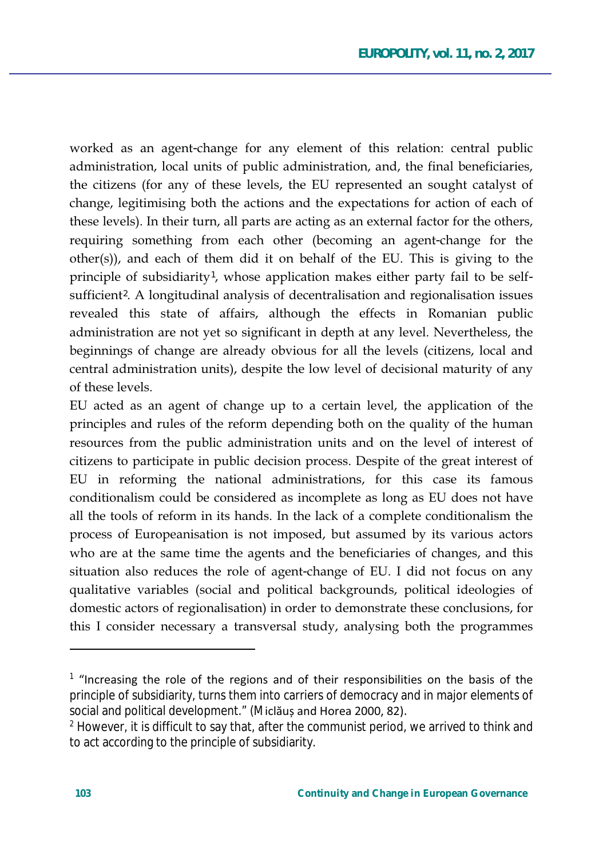worked as an agent-change for any element of this relation: central public administration, local units of public administration, and, the final beneficiaries, the citizens (for any of these levels, the EU represented an sought catalyst of change, legitimising both the actions and the expectations for action of each of these levels). In their turn, all parts are acting as an external factor for the others, requiring something from each other (becoming an agent-change for the other(s)), and each of them did it on behalf of the EU. This is giving to the principle of subsidiarity<sup>1</sup>, whose application makes either party fail to be selfsufficient<sup>2</sup>. A longitudinal analysis of decentralisation and regionalisation issues revealed this state of affairs, although the effects in Romanian public administration are not yet so significant in depth at any level. Nevertheless, the beginnings of change are already obvious for all the levels (citizens, local and central administration units), despite the low level of decisional maturity of any of these levels.

EU acted as an agent of change up to a certain level, the application of the principles and rules of the reform depending both on the quality of the human resources from the public administration units and on the level of interest of citizens to participate in public decision process. Despite of the great interest of EU in reforming the national administrations, for this case its famous conditionalism could be considered as incomplete as long as EU does not have all the tools of reform in its hands. In the lack of a complete conditionalism the process of Europeanisation is not imposed, but assumed by its various actors who are at the same time the agents and the beneficiaries of changes, and this situation also reduces the role of agent-change of EU. I did not focus on any qualitative variables (social and political backgrounds, political ideologies of domestic actors of regionalisation) in order to demonstrate these conclusions, for this I consider necessary a transversal study, analysing both the programmes

 $\overline{\phantom{a}}$ 

 $^1$  "Increasing the role of the regions and of their responsibilities on the basis of the principle of subsidiarity, turns them into carriers of democracy and in major elements of social and political development." (Miclăuș and Horea 2000, 82).

 $<sup>2</sup>$  However, it is difficult to say that, after the communist period, we arrived to think and</sup> to act according to the principle of subsidiarity.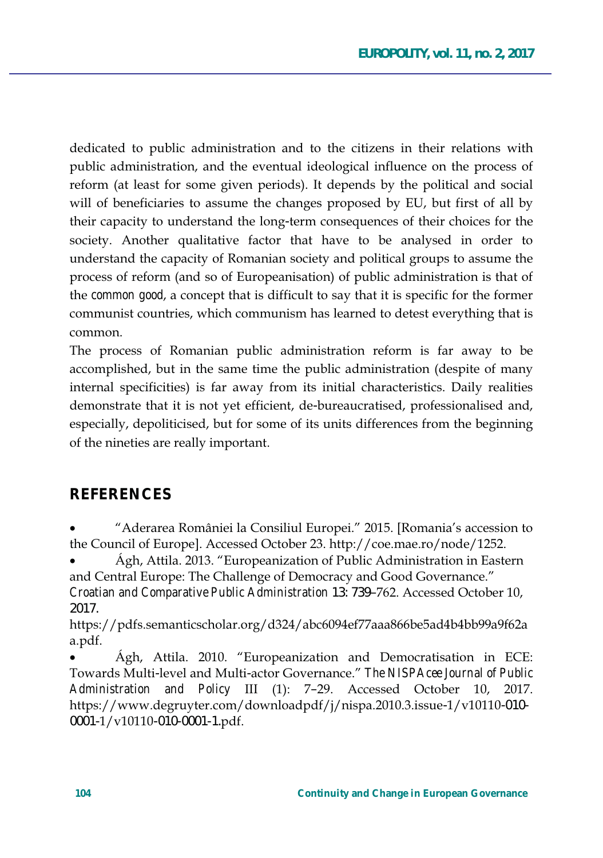dedicated to public administration and to the citizens in their relations with public administration, and the eventual ideological influence on the process of reform (at least for some given periods). It depends by the political and social will of beneficiaries to assume the changes proposed by EU, but first of all by their capacity to understand the long-term consequences of their choices for the society. Another qualitative factor that have to be analysed in order to understand the capacity of Romanian society and political groups to assume the process of reform (and so of Europeanisation) of public administration is that of the common good, a concept that is difficult to say that it is specific for the former communist countries, which communism has learned to detest everything that is common.

The process of Romanian public administration reform is far away to be accomplished, but in the same time the public administration (despite of many internal specificities) is far away from its initial characteristics. Daily realities demonstrate that it is not yet efficient, de-bureaucratised, professionalised and, especially, depoliticised, but for some of its units differences from the beginning of the nineties are really important.

### **REFERENCES**

"Aderarea României la Consiliul Europei." 2015. [Romania's accession to the Council of Europe]. Accessed October 23. http://coe.mae.ro/node/1252.

Ágh, Attila. 2013. "Europeanization of Public Administration in Eastern and Central Europe: The Challenge of Democracy and Good Governance." *Croatian and Comparative Public Administration* 13: 739-762. Accessed October 10, 2017.

https://pdfs.semanticscholar.org/d324/abc6094ef77aaa866be5ad4b4bb99a9f62a a.pdf.

Agh, Attila. 2010. "Europeanization and Democratisation in ECE: Towards Multi-level and Multi-actor Governance." The NISPAcee Journal of Public Administration and Policy III (1): 7-29. Accessed October 10, 2017. https://www.degruyter.com/downloadpdf/j/nispa.2010.3.issue-1/v10110-010-0001-1/v10110-010-0001-1.pdf.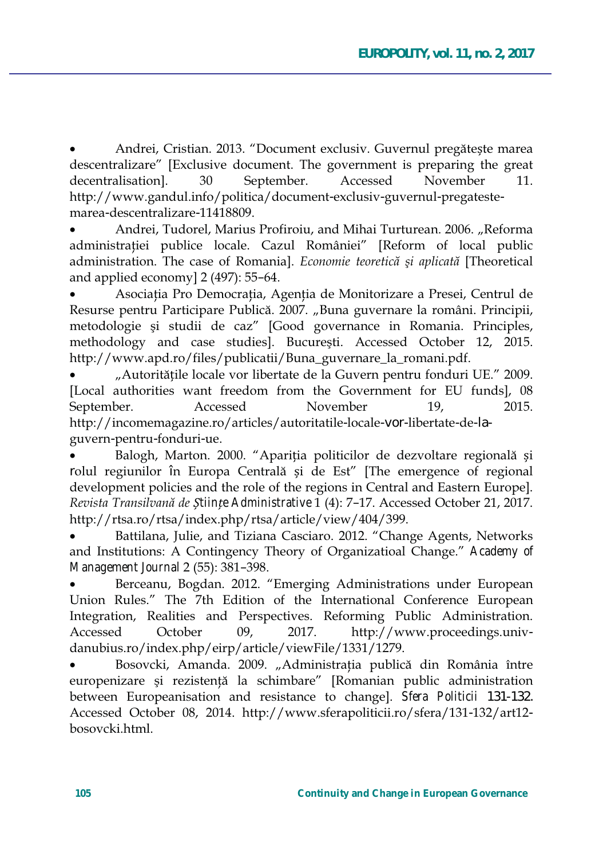Andrei, Cristian. 2013. "Document exclusiv. Guvernul pregătește marea descentralizare" [Exclusive document. The government is preparing the great Accessed November decentralisation]. 30 September.  $11<sub>1</sub>$ http://www.gandul.info/politica/document-exclusiv-guvernul-pregatestemarea-descentralizare-11418809.

Andrei, Tudorel, Marius Profiroiu, and Mihai Turturean. 2006. "Reforma administrației publice locale. Cazul României" [Reform of local public administration. The case of Romania]. Economie teoretică și aplicată [Theoretical and applied economy] 2 (497): 55-64.

Asociația Pro Democrația, Agenția de Monitorizare a Presei, Centrul de Resurse pentru Participare Publică. 2007. "Buna guvernare la români. Principii, metodologie și studii de caz" [Good governance in Romania. Principles, methodology and case studies]. Bucuresti. Accessed October 12, 2015. http://www.apd.ro/files/publicatii/Buna\_guvernare\_la\_romani.pdf.

"Autoritățile locale vor libertate de la Guvern pentru fonduri UE." 2009. [Local authorities want freedom from the Government for EU funds], 08 November September. Accessed 19. 2015. http://incomemagazine.ro/articles/autoritatile-locale-vor-libertate-de-laguvern-pentru-fonduri-ue.

Balogh, Marton. 2000. "Apariția politicilor de dezvoltare regională și rolul regiunilor în Europa Centrală și de Est" [The emergence of regional development policies and the role of the regions in Central and Eastern Europe]. Revista Transilvană de Științe Administrative 1 (4): 7-17. Accessed October 21, 2017. http://rtsa.ro/rtsa/index.php/rtsa/article/view/404/399.

Battilana, Julie, and Tiziana Casciaro. 2012. "Change Agents, Networks and Institutions: A Contingency Theory of Organizatioal Change." Academy of Management Journal 2 (55): 381-398.

Berceanu, Bogdan. 2012. "Emerging Administrations under European Union Rules." The 7th Edition of the International Conference European Integration, Realities and Perspectives. Reforming Public Administration. http://www.proceedings.univ-Accessed October 09, 2017. danubius.ro/index.php/eirp/article/viewFile/1331/1279.

Bosovcki, Amanda. 2009. "Administratia publică din România între europenizare și rezistență la schimbare" [Romanian public administration between Europeanisation and resistance to change]. Sfera Politicii 131-132. Accessed October 08, 2014. http://www.sferapoliticii.ro/sfera/131-132/art12bosovcki.html.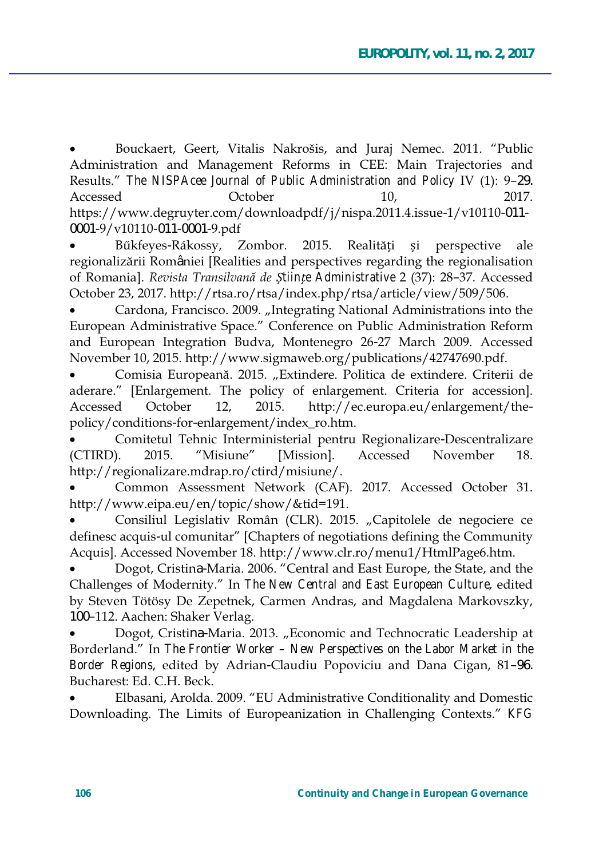Bouckaert, Geert, Vitalis Nakrošis, and Juraj Nemec. 2011. "Public Administration and Management Reforms in CEE: Main Trajectories and Results." The NISPAcee Journal of Public Administration and Policy IV (1): 9-29. Accessed October  $10.$ 2017. https://www.degruyter.com/downloadpdf/j/nispa.2011.4.issue-1/v10110-011-0001-9/v10110-011-0001-9.pdf

Bűkfeyes-Rákossy, Zombor. 2015. Realități și perspective ale regionalizării României [Realities and perspectives regarding the regionalisation of Romania]. Revista Transilvană de Științe Administrative 2 (37): 28-37. Accessed October 23, 2017. http://rtsa.ro/rtsa/index.php/rtsa/article/view/509/506.

Cardona, Francisco. 2009. "Integrating National Administrations into the European Administrative Space." Conference on Public Administration Reform and European Integration Budva, Montenegro 26-27 March 2009. Accessed November 10, 2015. http://www.sigmaweb.org/publications/42747690.pdf.

Comisia Europeană. 2015. "Extindere. Politica de extindere. Criterii de aderare." [Enlargement. The policy of enlargement. Criteria for accession]. http://ec.europa.eu/enlargement/the-October  $12.$ 2015. Accessed policy/conditions-for-enlargement/index ro.htm.

Comitetul Tehnic Interministerial pentru Regionalizare-Descentralizare "Misiune" Accessed (CTIRD). 2015. [Mission]. November 18. http://regionalizare.mdrap.ro/ctird/misiune/.

Common Assessment Network (CAF). 2017. Accessed October 31. http://www.eipa.eu/en/topic/show/&tid=191.

Consiliul Legislativ Român (CLR). 2015. "Capitolele de negociere ce definesc acquis-ul comunitar" [Chapters of negotiations defining the Community Acquis]. Accessed November 18. http://www.clr.ro/menu1/HtmlPage6.htm.

Dogot, Cristina-Maria. 2006. "Central and East Europe, the State, and the Challenges of Modernity." In The New Central and East European Culture, edited by Steven Tötösy De Zepetnek, Carmen Andras, and Magdalena Markovszky, 100-112. Aachen: Shaker Verlag.

Dogot, Cristina-Maria. 2013. "Economic and Technocratic Leadership at Borderland." In The Frontier Worker - New Perspectives on the Labor Market in the Border Regions, edited by Adrian-Claudiu Popoviciu and Dana Cigan, 81-96. Bucharest: Ed. C.H. Beck.

Elbasani, Arolda. 2009. "EU Administrative Conditionality and Domestic Downloading. The Limits of Europeanization in Challenging Contexts." KFG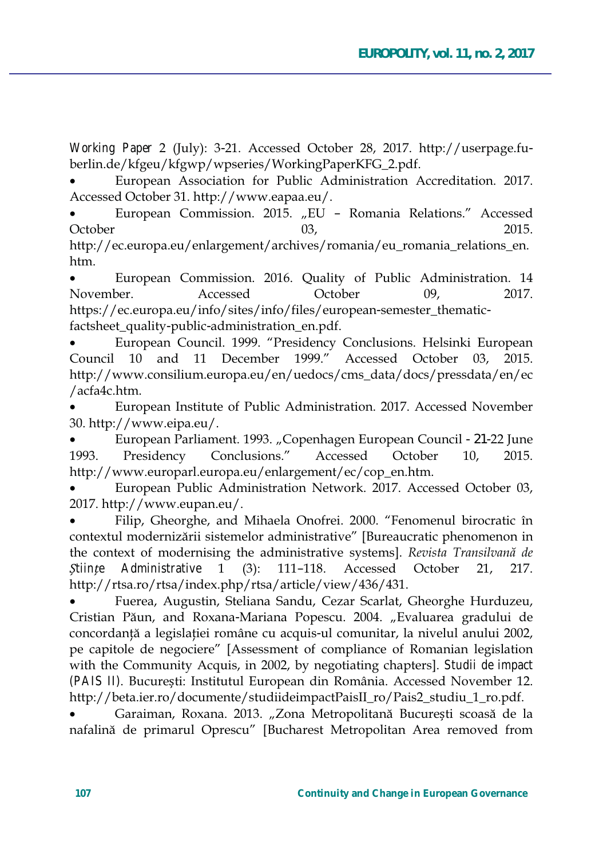Working Paper 2 (July): 3-21. Accessed October 28, 2017. http://userpage.fuberlin.de/kfgeu/kfgwp/wpseries/WorkingPaperKFG 2.pdf.

European Association for Public Administration Accreditation. 2017. Accessed October 31. http://www.eapaa.eu/.

European Commission. 2015. "EU - Romania Relations." Accessed October 03. 2015

http://ec.europa.eu/enlargement/archives/romania/eu\_romania\_relations\_en. htm

European Commission. 2016. Quality of Public Administration. 14 October 2017. November. Accessed 09. https://ec.europa.eu/info/sites/info/files/european-semester thematicfactsheet\_quality-public-administration\_en.pdf.

European Council. 1999. "Presidency Conclusions. Helsinki European Council 10 and 11 December 1999." Accessed October 03, 2015. http://www.consilium.europa.eu/en/uedocs/cms\_data/docs/pressdata/en/ec /acfa4c.htm.

European Institute of Public Administration. 2017. Accessed November 30. http://www.eipa.eu/.

European Parliament. 1993. "Copenhagen European Council - 21-22 June Conclusions." Presidency Accessed October  $10.$ 1993. 2015. http://www.europarl.europa.eu/enlargement/ec/cop\_en.htm.

European Public Administration Network. 2017. Accessed October 03, 2017. http://www.eupan.eu/.

Filip, Gheorghe, and Mihaela Onofrei. 2000. "Fenomenul birocratic în contextul modernizării sistemelor administrative" [Bureaucratic phenomenon in the context of modernising the administrative systems]. Revista Transilvană de Administrative 1  $(3):$  111-118. Accessed October Stiințe 21. 217. http://rtsa.ro/rtsa/index.php/rtsa/article/view/436/431.

Fuerea, Augustin, Steliana Sandu, Cezar Scarlat, Gheorghe Hurduzeu, Cristian Păun, and Roxana-Mariana Popescu. 2004. "Evaluarea gradului de concordanță a legislației române cu acquis-ul comunitar, la nivelul anului 2002, pe capitole de negociere" [Assessment of compliance of Romanian legislation with the Community Acquis, in 2002, by negotiating chapters]. Studii de impact (PAIS II). București: Institutul European din România. Accessed November 12. http://beta.ier.ro/documente/studiideimpactPaisII\_ro/Pais2\_studiu\_1\_ro.pdf.

Garaiman, Roxana. 2013. "Zona Metropolitană București scoasă de la nafalină de primarul Oprescu" [Bucharest Metropolitan Area removed from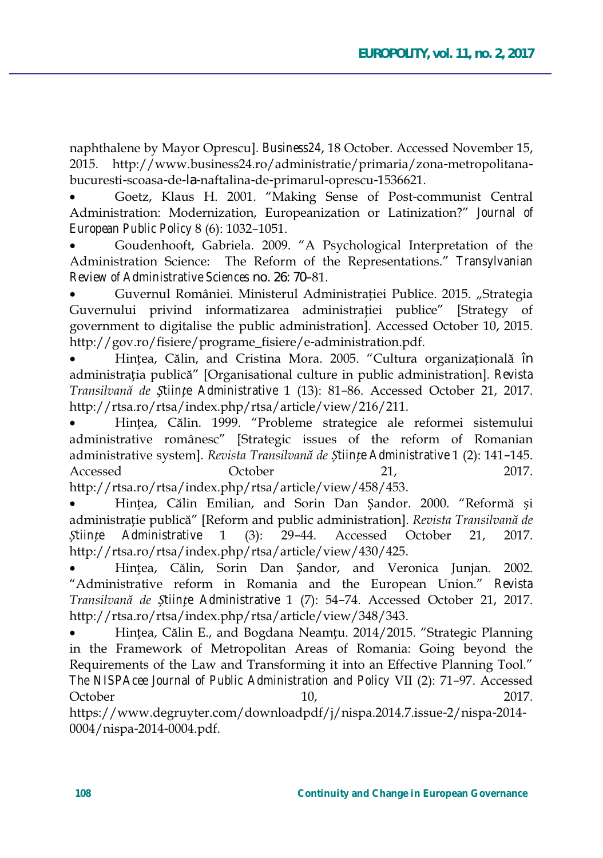naphthalene by Mayor Oprescu]. Business24, 18 October. Accessed November 15, http://www.business24.ro/administratie/primaria/zona-metropolitana-2015. bucuresti-scoasa-de-la-naftalina-de-primarul-oprescu-1536621.

Goetz, Klaus H. 2001. "Making Sense of Post-communist Central Administration: Modernization, Europeanization or Latinization?" Journal of European Public Policy 8 (6): 1032-1051.

Goudenhooft, Gabriela. 2009. "A Psychological Interpretation of the Administration Science: The Reform of the Representations." Transylvanian Review of Administrative Sciences no. 26: 70–81.

Guvernul României. Ministerul Administrației Publice. 2015. "Strategia Guvernului privind informatizarea administratiei publice" [Strategy government to digitalise the public administration]. Accessed October 10, 2015. http://gov.ro/fisiere/programe\_fisiere/e-administration.pdf.

Hintea, Călin, and Cristina Mora. 2005. "Cultura organizațională în administrația publică" [Organisational culture in public administration]. Revista Transilvană de Științe Administrative 1 (13): 81-86. Accessed October 21, 2017. http://rtsa.ro/rtsa/index.php/rtsa/article/view/216/211.

Hintea, Călin. 1999. "Probleme strategice ale reformei sistemului administrative românesc" [Strategic issues of the reform of Romanian administrative system]. Revista Transilvană de Stiinte Administrative 1 (2): 141-145. Accessed October 21, 2017. http://rtsa.ro/rtsa/index.php/rtsa/article/view/458/453.

Hințea, Călin Emilian, and Sorin Dan Șandor. 2000. "Reformă și administrație publică" [Reform and public administration]. Revista Transilvană de Stiinte Administrative 1 (3): 29-44. Accessed October  $21.$ 2017. http://rtsa.ro/rtsa/index.php/rtsa/article/view/430/425.

Hintea, Călin, Sorin Dan Sandor, and Veronica Junian. 2002. "Administrative reform in Romania and the European Union." Revista Transilvană de Științe Administrative 1 (7): 54-74. Accessed October 21, 2017. http://rtsa.ro/rtsa/index.php/rtsa/article/view/348/343.

Hințea, Călin E., and Bogdana Neamțu. 2014/2015. "Strategic Planning in the Framework of Metropolitan Areas of Romania: Going beyond the Requirements of the Law and Transforming it into an Effective Planning Tool." The NISPAcee Journal of Public Administration and Policy VII (2): 71-97. Accessed October 2017. 10,

https://www.degruyter.com/downloadpdf/j/nispa.2014.7.issue-2/nispa-2014-0004/nispa-2014-0004.pdf.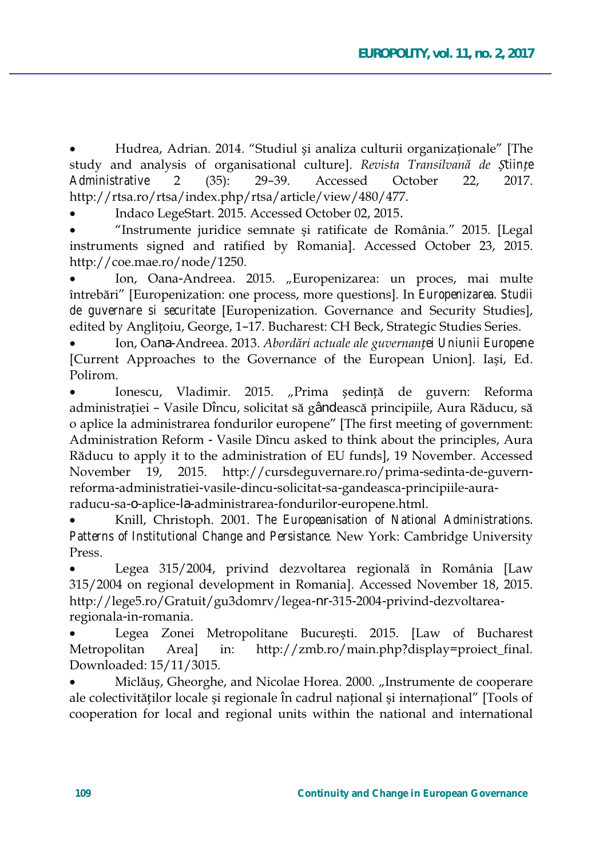Hudrea, Adrian. 2014. "Studiul și analiza culturii organizaționale" [The study and analysis of organisational culture]. Revista Transilvană de Științe Administrative  $\overline{2}$  $(35)$ :  $29 - 39$ . Accessed October  $22.$ 2017. http://rtsa.ro/rtsa/index.php/rtsa/article/view/480/477.

Indaco LegeStart. 2015. Accessed October 02, 2015.

"Instrumente juridice semnate și ratificate de România." 2015. [Legal] instruments signed and ratified by Romania]. Accessed October 23, 2015. http://coe.mae.ro/node/1250.

Ion, Oana-Andreea. 2015. "Europenizarea: un proces, mai multe întrebări" [Europenization: one process, more questions]. In *Europenizarea. Studii* de guvernare si securitate [Europenization. Governance and Security Studies], edited by Anglitoiu, George, 1-17. Bucharest: CH Beck, Strategic Studies Series.

Ion, Oana-Andreea. 2013. Abordări actuale ale guvernanței Uniunii Europene [Current Approaches to the Governance of the European Union]. Iași, Ed. Polirom.

Ionescu. Vladimir. 2015. "Prima sedință de guvern: Reforma administrației – Vasile Dîncu, solicitat să gândească principiile, Aura Răducu, să o aplice la administrarea fondurilor europene" [The first meeting of government: Administration Reform - Vasile Dîncu asked to think about the principles, Aura Răducu to apply it to the administration of EU funds], 19 November. Accessed November 19, 2015. http://cursdeguvernare.ro/prima-sedinta-de-guvernreforma-administratiei-vasile-dincu-solicitat-sa-gandeasca-principiile-auraraducu-sa-0-aplice-la-administrarea-fondurilor-europene.html.

Knill, Christoph. 2001. The Europeanisation of National Administrations. Patterns of Institutional Change and Persistance. New York: Cambridge University Press.

Legea 315/2004, privind dezvoltarea regională în România [Law 315/2004 on regional development in Romanial. Accessed November 18, 2015. http://lege5.ro/Gratuit/gu3domrv/legea-nr-315-2004-privind-dezvoltarearegionala-in-romania.

Legea Zonei Metropolitane București. 2015. [Law of Bucharest http://zmb.ro/main.php?display=proiect\_final. Metropolitan Areal in: Downloaded: 15/11/3015.

Miclăuș, Gheorghe, and Nicolae Horea. 2000. "Instrumente de cooperare ale colectivităților locale și regionale în cadrul national și international" [Tools of cooperation for local and regional units within the national and international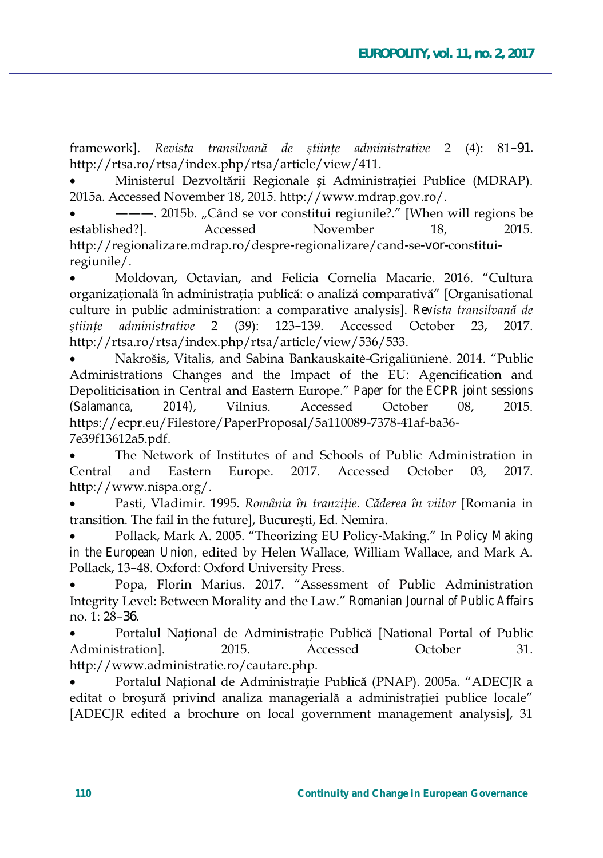framework]. Revista transilvană de științe administrative 2 (4): 81-91. http://rtsa.ro/rtsa/index.php/rtsa/article/view/411.

Ministerul Dezvoltării Regionale și Administrației Publice (MDRAP). 2015a. Accessed November 18, 2015. http://www.mdrap.gov.ro/.

Accessed November 2015 established?l. 18. http://regionalizare.mdrap.ro/despre-regionalizare/cand-se-vor-constituiregiunile/.

Moldovan, Octavian, and Felicia Cornelia Macarie. 2016. "Cultura organizatională în administratia publică: o analiză comparativă" [Organisational culture in public administration: a comparative analysis]. Revista transilvană de administrative 123-139.  $(39)$ : Accessed October stiinte  $\overline{2}$ 23. 2017. http://rtsa.ro/rtsa/index.php/rtsa/article/view/536/533.

Nakrošis, Vitalis, and Sabina Bankauskaitė-Grigaliūnienė. 2014. "Public Administrations Changes and the Impact of the EU: Agencification and Depoliticisation in Central and Eastern Europe." Paper for the ECPR joint sessions  $2014.$ Vilnius. Accessed October 2015. *(Salamanca,* 08. https://ecpr.eu/Filestore/PaperProposal/5a110089-7378-41af-ba36-7e39f13612a5.pdf.

The Network of Institutes of and Schools of Public Administration in Central and Eastern Europe. 2017. Accessed October 03, 2017. http://www.nispa.org/.

Pasti, Vladimir. 1995. România în tranziție. Căderea în viitor [Romania in transition. The fail in the future], București, Ed. Nemira.

Pollack, Mark A. 2005. "Theorizing EU Policy-Making." In Policy Making in the European Union, edited by Helen Wallace, William Wallace, and Mark A. Pollack, 13-48. Oxford: Oxford University Press.

Popa, Florin Marius. 2017. "Assessment of Public Administration Integrity Level: Between Morality and the Law." Romanian Journal of Public Affairs no. 1: 28-36.

Portalul Național de Administrație Publică [National Portal of Public 2015. 31 Administration]. Accessed October http://www.administratie.ro/cautare.php.

Portalul Național de Administrație Publică (PNAP). 2005a. "ADECJR a editat o brosură privind analiza managerială a administrației publice locale" [ADECJR edited a brochure on local government management analysis], 31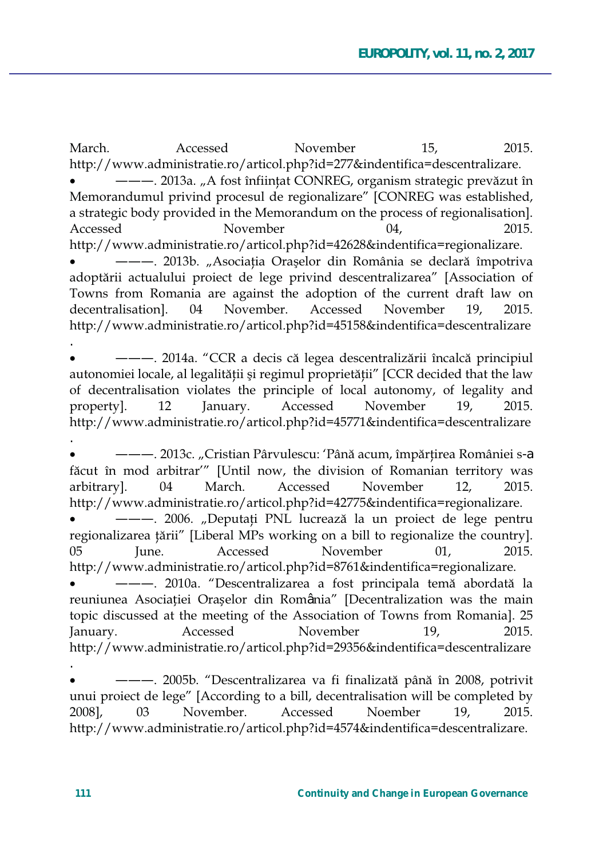March Accessed November 15. 2015. http://www.administratie.ro/articol.php?id=277&indentifica=descentralizare. ---------------- 2013a. "A fost înființat CONREG, organism strategic prevăzut în Memorandumul privind procesul de regionalizare" [CONREG was established, a strategic body provided in the Memorandum on the process of regionalisation]. Accessed November  $04.$ 2015. http://www.administratie.ro/articol.php?id=42628&indentifica=regionalizare.

-. 2013b. "Asociația Orașelor din România se declară împotriva adoptării actualului proiect de lege privind descentralizarea" [Association of Towns from Romania are against the adoption of the current draft law on decentralisation]. 04 November. Accessed November 19. 2015. http://www.administratie.ro/articol.php?id=45158&indentifica=descentralizare

-. 2014a. "CCR a decis că legea descentralizării încalcă principiul autonomiei locale, al legalității și regimul proprietății" [CCR decided that the law of decentralisation violates the principle of local autonomy, of legality and January. Accessed November 19. property. 12 2015. http://www.administratie.ro/articol.php?id=45771&indentifica=descentralizare

——. 2013c. "Cristian Pârvulescu: 'Până acum, împărțirea României s-a făcut în mod arbitrar" [Until now, the division of Romanian territory was  $04$ March. Accessed November  $12.$ 2015. arbitrary]. http://www.administratie.ro/articol.php?id=42775&indentifica=regionalizare. ———, 2006. "Deputati PNL lucrează la un proiect de lege pentru regionalizarea tării" [Liberal MPs working on a bill to regionalize the country]. Accessed  $0<sub>5</sub>$ June. November  $01.$ 2015.

http://www.administratie.ro/articol.php?id=8761&indentifica=regionalizare.

---- 2010a. "Descentralizarea a fost principala temă abordată la reuniunea Asociației Orașelor din România" [Decentralization was the main topic discussed at the meeting of the Association of Towns from Romania]. 25 Accessed November January. 19. 2015. http://www.administratie.ro/articol.php?id=29356&indentifica=descentralizare

-- 2005b. "Descentralizarea va fi finalizată până în 2008, potrivit unui proiect de lege" [According to a bill, decentralisation will be completed by 2008], 03 November. Accessed Noember 19, 2015. http://www.administratie.ro/articol.php?id=4574&indentifica=descentralizare.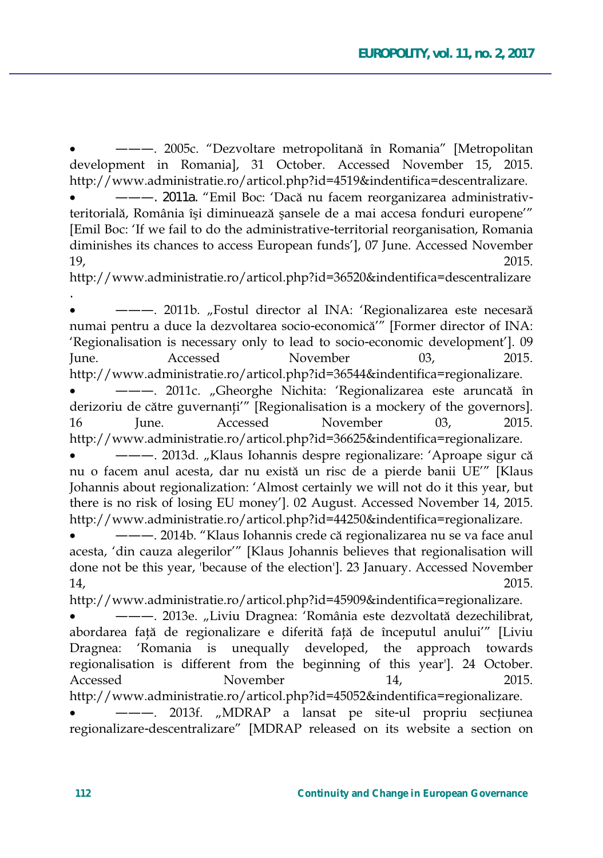---- 2005c. "Dezvoltare metropolitană în Romania" [Metropolitan development in Romania], 31 October. Accessed November 15, 2015. http://www.administratie.ro/articol.php?id=4519&indentifica=descentralizare.

---- 2011a. "Emil Boc: 'Dacă nu facem reorganizarea administrativteritorială, România își diminuează șansele de a mai accesa fonduri europene'" [Emil Boc: 'If we fail to do the administrative-territorial reorganisation, Romania diminishes its chances to access European funds'], 07 June. Accessed November 19, 2015.

http://www.administratie.ro/articol.php?id=36520&indentifica=descentralizare

-- 2011b. "Fostul director al INA: 'Regionalizarea este necesară numai pentru a duce la dezvoltarea socio-economică<sup>77</sup> [Former director of INA: 'Regionalisation is necessary only to lead to socio-economic development']. 09 June. Accessed November 03. 2015. http://www.administratie.ro/articol.php?id=36544&indentifica=regionalizare.

---- 2011c. "Gheorghe Nichita: 'Regionalizarea este aruncată în derizoriu de către guvernanți'" [Regionalisation is a mockery of the governors]. Accessed June. November 16  $03.$ 2015. http://www.administratie.ro/articol.php?id=36625&indentifica=regionalizare.

---- 2013d. "Klaus Iohannis despre regionalizare: 'Aproape sigur că nu o facem anul acesta, dar nu există un risc de a pierde banii UE" [Klaus Johannis about regionalization: 'Almost certainly we will not do it this year, but there is no risk of losing EU money']. 02 August. Accessed November 14, 2015. http://www.administratie.ro/articol.php?id=44250&indentifica=regionalizare.

------ 2014b. "Klaus Iohannis crede că regionalizarea nu se va face anul acesta, 'din cauza alegerilor'" [Klaus Johannis believes that regionalisation will done not be this year, 'because of the election']. 23 January. Accessed November 14, 2015.

http://www.administratie.ro/articol.php?id=45909&indentifica=regionalizare.

---- 2013e. "Liviu Dragnea: 'România este dezvoltată dezechilibrat, abordarea față de regionalizare e diferită față de începutul anului" [Liviu Dragnea: 'Romania is unequally developed, the approach towards regionalisation is different from the beginning of this year']. 24 October. Accessed November 14. 2015. http://www.administratie.ro/articol.php?id=45052&indentifica=regionalizare.

---- 2013f. "MDRAP a lansat pe site-ul propriu secțiunea regionalizare-descentralizare" [MDRAP released on its website a section on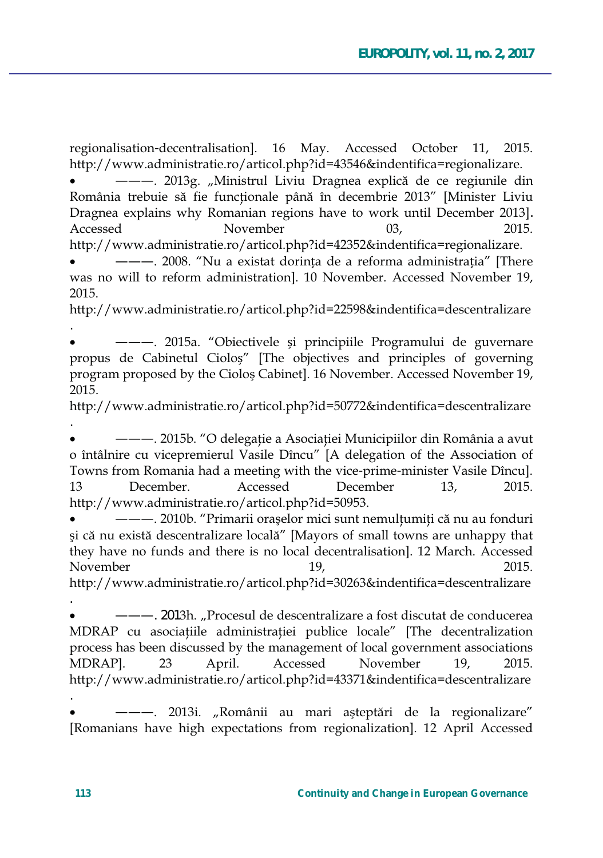regionalisation-decentralisation]. 16 May. Accessed October 11, 2015. http://www.administratie.ro/articol.php?id=43546&indentifica=regionalizare.

- 2013g. "Ministrul Liviu Dragnea explică de ce regiunile din România trebuie să fie funcționale până în decembrie 2013" [Minister Liviu Dragnea explains why Romanian regions have to work until December 2013]. November 2015 Accessed  $03.$ 

http://www.administratie.ro/articol.php?id=42352&indentifica=regionalizare.

-- 2008. "Nu a existat dorința de a reforma administrația" [There was no will to reform administration]. 10 November. Accessed November 19, 2015.

http://www.administratie.ro/articol.php?id=22598&indentifica=descentralizare

http://www.administratie.ro/articol.php?id=50772&indentifica=descentralizare

o întâlnire cu vicepremierul Vasile Dîncu" [A delegation of the Association of Towns from Romania had a meeting with the vice-prime-minister Vasile Dîncu]. 13 December. Accessed December 13. 2015. http://www.administratie.ro/articol.php?id=50953.

------ 2010b. "Primarii orașelor mici sunt nemulțumiți că nu au fonduri și că nu există descentralizare locală" [Mayors of small towns are unhappy that they have no funds and there is no local decentralisation]. 12 March. Accessed November 19. 2015. http://www.administratie.ro/articol.php?id=30263&indentifica=descentralizare

- 2013h. "Procesul de descentralizare a fost discutat de conducerea MDRAP cu asociațiile administrației publice locale" [The decentralization process has been discussed by the management of local government associations MDRAP]. 23 April. Accessed November 19. 2015 http://www.administratie.ro/articol.php?id=43371&indentifica=descentralizare

2013i. "Românii au mari așteptări de la regionalizare" [Romanians have high expectations from regionalization]. 12 April Accessed

<sup>--- 2015</sup>a. "Obiectivele și principiile Programului de guvernare propus de Cabinetul Ciolos" [The objectives and principles of governing program proposed by the Ciolos Cabinet]. 16 November. Accessed November 19, 2015.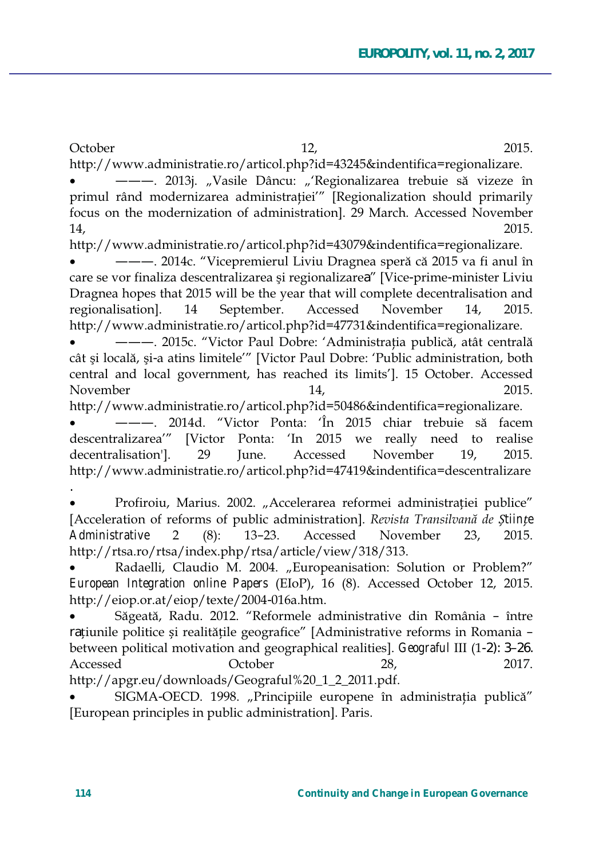October 12. 2015 http://www.administratie.ro/articol.php?id=43245&indentifica=regionalizare. --- 2013j. "Vasile Dâncu: "'Regionalizarea trebuie să vizeze în primul rând modernizarea administrației" [Regionalization should primarily focus on the modernization of administration]. 29 March. Accessed November 2015  $14.$ http://www.administratie.ro/articol.php?id=43079&indentifica=regionalizare. -- 2014c. "Vicepremierul Liviu Dragnea speră că 2015 va fi anul în

care se vor finaliza descentralizarea și regionalizarea" [Vice-prime-minister Liviu Dragnea hopes that 2015 will be the year that will complete decentralisation and regionalisation]. 14 September. Accessed November 14. 2015. http://www.administratie.ro/articol.php?id=47731&indentifica=regionalizare.

----- 2015c. "Victor Paul Dobre: 'Administrația publică, atât centrală cât și locală, și-a atins limitele'" [Victor Paul Dobre: 'Public administration, both central and local government, has reached its limits']. 15 October. Accessed November 14. 2015

http://www.administratie.ro/articol.php?id=50486&indentifica=regionalizare.

---- 2014d. "Victor Ponta: 'În 2015 chiar trebuie să facem descentralizarea'" [Victor Ponta: 'In 2015 we really need to realise decentralisation']. 29 June. Accessed November 19. 2015 http://www.administratie.ro/articol.php?id=47419&indentifica=descentralizare

Profiroiu, Marius. 2002. "Accelerarea reformei administrației publice" [Acceleration of reforms of public administration]. Revista Transilvană de Științe Administrative 2  $(8)$ :  $13 - 23$ . Accessed November 23. 2015. http://rtsa.ro/rtsa/index.php/rtsa/article/view/318/313.

Radaelli, Claudio M. 2004. "Europeanisation: Solution or Problem?" European Integration online Papers (EIoP), 16 (8). Accessed October 12, 2015. http://eiop.or.at/eiop/texte/2004-016a.htm.

Săgeată, Radu. 2012. "Reformele administrative din România - între rațiunile politice și realitățile geografice" [Administrative reforms in Romania between political motivation and geographical realities]. *Geograful* III (1-2): 3-26. Accessed October 28. 2017. http://apgr.eu/downloads/Geograful%20\_1\_2\_2011.pdf.

SIGMA-OECD. 1998. "Principiile europene în administrația publică" [European principles in public administration]. Paris.